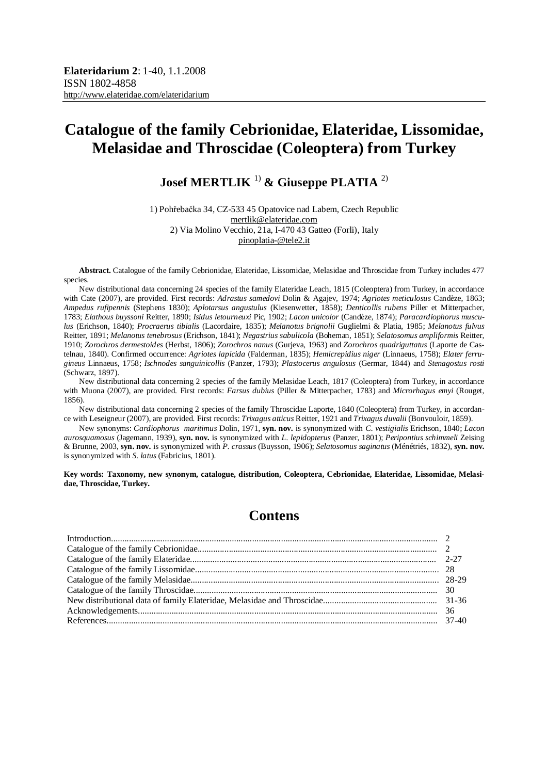# **Josef MERTLIK** 1) **& Giuseppe PLATIA** 2)

1) Pohřebačka 34, CZ-533 45 Opatovice nad Labem, Czech Republic [mertlik@elateridae.com](mailto:mertlik@elateridae.com) 2) Via Molino Vecchio, 21a, I-470 43 Gatteo (Forli), Italy [pinoplatia-@tele2.it](mailto:pinoplatia-@tele2.it)

**Abstract.** Catalogue of the family Cebrionidae, Elateridae, Lissomidae, Melasidae and Throscidae from Turkey includes 477 species.

New distributional data concerning 24 species of the family Elateridae Leach, 1815 (Coleoptera) from Turkey, in accordance with Cate (2007), are provided. First records: *Adrastus samedovi* Dolin & Agajev, 1974; *Agriotes meticulosus* Candèze, 1863; *Ampedus rufipennis* (Stephens 1830); *Aplotarsus angustulus* (Kiesenwetter, 1858); *Denticollis rubens* Piller et Mitterpacher, 1783; *Elathous buyssoni* Reitter, 1890; *Isidus letourneuxi* Pic, 1902; *Lacon unicolor* (Candèze, 1874); *Paracardiophorus musculus* (Erichson, 1840); *Procraerus tibialis* (Lacordaire, 1835); *Melanotus brignolii* Guglielmi & Platia, 1985; *Melanotus fulvus* Reitter, 1891; *Melanotus tenebrosus* (Erichson, 1841); *Negastrius sabulicola* (Boheman, 1851); *Selatosomus ampliformis* Reitter, 1910; *Zorochros dermestoides* (Herbst, 1806); *Zorochros nanus* (Gurjeva, 1963) and *Zorochros quadriguttatus* (Laporte de Castelnau, 1840). Confirmed occurrence: *Agriotes lapicida* (Falderman, 1835); *Hemicrepidius niger* (Linnaeus, 1758); *Elater ferrugineus* Linnaeus, 1758; *Ischnodes sanguinicollis* (Panzer, 1793); *Plastocerus angulosus* (Germar, 1844) and *Stenagostus rosti* (Schwarz, 1897).

New distributional data concerning 2 species of the family Melasidae Leach, 1817 (Coleoptera) from Turkey, in accordance with Muona (2007), are provided. First records: *Farsus dubius* (Piller & Mitterpacher, 1783) and *Microrhagus emyi* (Rouget, 1856).

New distributional data concerning 2 species of the family Throscidae Laporte, 1840 (Coleoptera) from Turkey, in accordance with Leseigneur (2007), are provided. First records: *Trixagus atticus* Reitter, 1921 and *Trixagus duvalii* (Bonvouloir, 1859).

New synonyms: *Cardiophorus maritimus* Dolin, 1971, **syn. nov.** is synonymized with *C. vestigialis* Erichson, 1840; *Lacon aurosquamosus* (Jagemann, 1939), **syn. nov.** is synonymized with *L. lepidopterus* (Panzer, 1801); *Peripontius schimmeli* Zeising & Brunne, 2003, **syn. nov.** is synonymized with *P. crassus* (Buysson, 1906); *Selatosomus saginatus* (Ménétriés, 1832), **syn. nov.** is synonymized with *S. latus* (Fabricius, 1801).

**Key words: Taxonomy, new synonym, catalogue, distribution, Coleoptera, Cebrionidae, Elateridae, Lissomidae, Melasidae, Throscidae, Turkey.** 

# **Contens**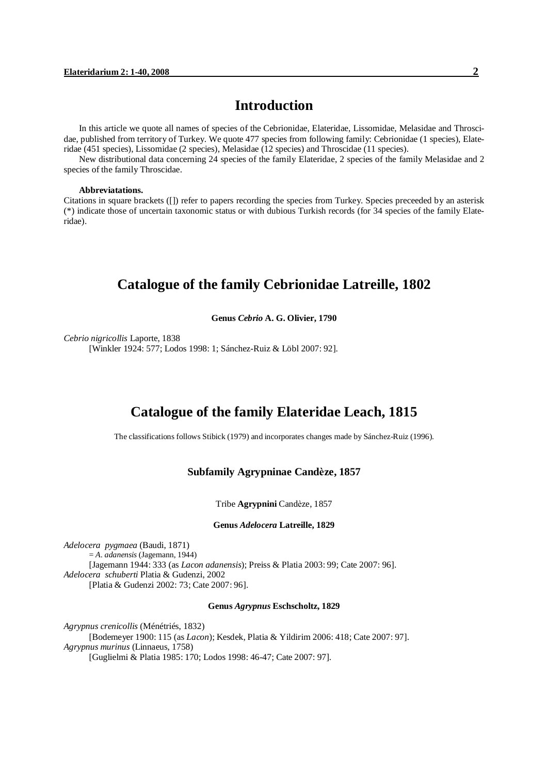## **Introduction**

In this article we quote all names of species of the Cebrionidae, Elateridae, Lissomidae, Melasidae and Throscidae, published from territory of Turkey. We quote 477 species from following family: Cebrionidae (1 species), Elateridae (451 species), Lissomidae (2 species), Melasidae (12 species) and Throscidae (11 species).

New distributional data concerning 24 species of the family Elateridae, 2 species of the family Melasidae and 2 species of the family Throscidae.

#### **Abbreviatations.**

Citations in square brackets ([]) refer to papers recording the species from Turkey. Species preceeded by an asterisk (\*) indicate those of uncertain taxonomic status or with dubious Turkish records (for 34 species of the family Elateridae).

# **Catalogue of the family Cebrionidae Latreille, 1802**

**Genus** *Cebrio* **A. G. Olivier, 1790**

*Cebrio nigricollis* Laporte, 1838 [Winkler 1924: 577; Lodos 1998: 1; Sánchez-Ruiz & Löbl 2007: 92].

# **Catalogue of the family Elateridae Leach, 1815**

The classifications follows Stibick (1979) and incorporates changes made by Sánchez-Ruiz (1996).

## **Subfamily Agrypninae Candèze, 1857**

Tribe **Agrypnini** Candèze, 1857

#### **Genus** *Adelocera* **Latreille, 1829**

*Adelocera pygmaea* (Baudi, 1871) = *A. adanensis* (Jagemann, 1944) [Jagemann 1944: 333 (as *Lacon adanensis*); Preiss & Platia 2003: 99; Cate 2007: 96]. *Adelocera schuberti* Platia & Gudenzi, 2002 [Platia & Gudenzi 2002: 73; Cate 2007: 96].

#### **Genus** *Agrypnus* **Eschscholtz, 1829**

*Agrypnus crenicollis* (Ménétriés, 1832) [Bodemeyer 1900: 115 (as *Lacon*); Kesdek, Platia & Yildirim 2006: 418; Cate 2007: 97]. *Agrypnus murinus* (Linnaeus, 1758) [Guglielmi & Platia 1985: 170; Lodos 1998: 46-47; Cate 2007: 97].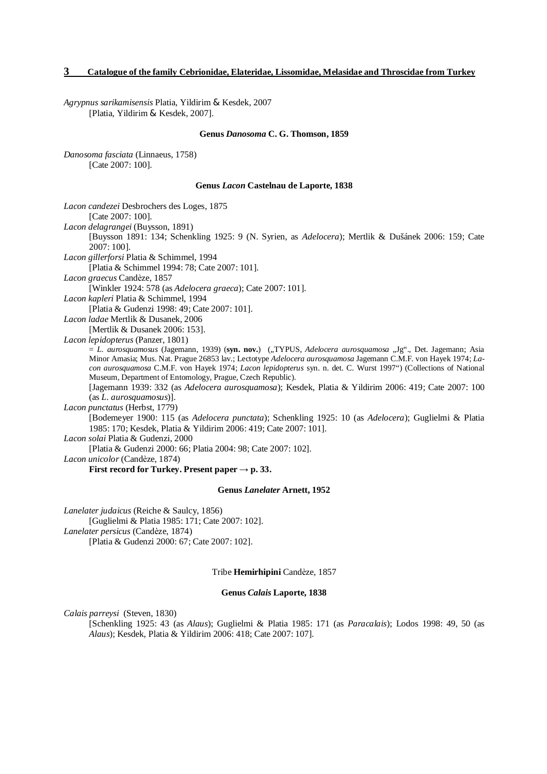*Agrypnus sarikamisensis* Platia, Yildirim & Kesdek, 2007 [Platia, Yildirim & Kesdek, 2007].

#### **Genus** *Danosoma* **C. G. Thomson, 1859**

*Danosoma fasciata* (Linnaeus, 1758) [Cate 2007: 100].

#### **Genus** *Lacon* **Castelnau de Laporte, 1838**

| Lacon candezei Desbrochers des Loges, 1875<br>[Cate 2007: 100].                                                                                                                                                                                                                                                                                                                                                 |
|-----------------------------------------------------------------------------------------------------------------------------------------------------------------------------------------------------------------------------------------------------------------------------------------------------------------------------------------------------------------------------------------------------------------|
|                                                                                                                                                                                                                                                                                                                                                                                                                 |
| Lacon delagrangei (Buysson, 1891)<br>[Buysson 1891: 134; Schenkling 1925: 9 (N. Syrien, as Adelocera); Mertlik & Dušánek 2006: 159; Cate                                                                                                                                                                                                                                                                        |
| $2007:100$ ].                                                                                                                                                                                                                                                                                                                                                                                                   |
| Lacon gillerforsi Platia & Schimmel, 1994                                                                                                                                                                                                                                                                                                                                                                       |
| [Platia & Schimmel 1994: 78; Cate 2007: 101].                                                                                                                                                                                                                                                                                                                                                                   |
| Lacon graecus Candèze, 1857                                                                                                                                                                                                                                                                                                                                                                                     |
| [Winkler 1924: 578 (as <i>Adelocera graeca</i> ); Cate 2007: 101].                                                                                                                                                                                                                                                                                                                                              |
| Lacon kapleri Platia & Schimmel, 1994                                                                                                                                                                                                                                                                                                                                                                           |
| [Platia & Gudenzi 1998: 49; Cate 2007: 101].                                                                                                                                                                                                                                                                                                                                                                    |
| Lacon ladae Mertlik & Dusanek, 2006                                                                                                                                                                                                                                                                                                                                                                             |
| [Mertlik & Dusanek 2006: 153].                                                                                                                                                                                                                                                                                                                                                                                  |
| Lacon lepidopterus (Panzer, 1801)                                                                                                                                                                                                                                                                                                                                                                               |
| = L. aurosquamosus (Jagemann, 1939) (syn. nov.) ("TYPUS, Adelocera aurosquamosa "Jg"., Det. Jagemann; Asia<br>Minor Amasia; Mus. Nat. Prague 26853 lav.; Lectotype Adelocera aurosquamosa Jagemann C.M.F. von Hayek 1974; La-<br>con aurosquamosa C.M.F. von Hayek 1974; Lacon lepidopterus syn. n. det. C. Wurst 1997") (Collections of National<br>Museum, Department of Entomology, Prague, Czech Republic). |
| [Jagemann 1939: 332 (as Adelocera aurosquamosa); Kesdek, Platia & Yildirim 2006: 419; Cate 2007: 100                                                                                                                                                                                                                                                                                                            |
| (as L. auro squamosus)].                                                                                                                                                                                                                                                                                                                                                                                        |
| Lacon punctatus (Herbst, 1779)                                                                                                                                                                                                                                                                                                                                                                                  |
| [Bodemeyer 1900: 115 (as Adelocera punctata); Schenkling 1925: 10 (as Adelocera); Guglielmi & Platia<br>1985: 170; Kesdek, Platia & Yildirim 2006: 419; Cate 2007: 101].                                                                                                                                                                                                                                        |
| Lacon solai Platia & Gudenzi, 2000                                                                                                                                                                                                                                                                                                                                                                              |
| [Platia & Gudenzi 2000: 66; Platia 2004: 98; Cate 2007: 102].                                                                                                                                                                                                                                                                                                                                                   |
| <i>Lacon unicolor</i> (Candèze, 1874)                                                                                                                                                                                                                                                                                                                                                                           |
| First record for Turkey. Present paper $\rightarrow$ p. 33.                                                                                                                                                                                                                                                                                                                                                     |
| <b>Genus Lanelater Arnett, 1952</b>                                                                                                                                                                                                                                                                                                                                                                             |

*Lanelater judaicus* (Reiche & Saulcy, 1856) [Guglielmi & Platia 1985: 171; Cate 2007: 102]. *Lanelater persicus* (Candèze, 1874) [Platia & Gudenzi 2000: 67; Cate 2007: 102].

Tribe **Hemirhipini** Candèze, 1857

#### **Genus** *Calais* **Laporte, 1838**

*Calais parreysi* (Steven, 1830)

[Schenkling 1925: 43 (as *Alaus*); Guglielmi & Platia 1985: 171 (as *Paracalais*); Lodos 1998: 49, 50 (as *Alaus*); Kesdek, Platia & Yildirim 2006: 418; Cate 2007: 107].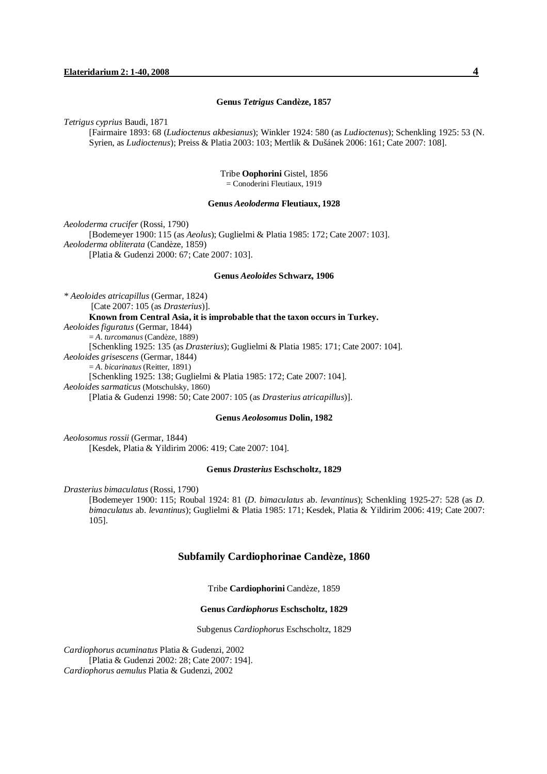#### **Genus** *Tetrigus* **Candèze, 1857**

*Tetrigus cyprius* Baudi, 1871

[Fairmaire 1893: 68 (*Ludioctenus akbesianus*); Winkler 1924: 580 (as *Ludioctenus*); Schenkling 1925: 53 (N. Syrien, as *Ludioctenus*); Preiss & Platia 2003: 103; Mertlik & Dušánek 2006: 161; Cate 2007: 108].

> Tribe **Oophorini** Gistel, 1856 = Conoderini Fleutiaux, 1919

#### **Genus** *Aeoloderma* **Fleutiaux, 1928**

*Aeoloderma crucifer* (Rossi, 1790) [Bodemeyer 1900: 115 (as *Aeolus*); Guglielmi & Platia 1985: 172; Cate 2007: 103]. *Aeoloderma obliterata* (Candèze, 1859) [Platia & Gudenzi 2000: 67; Cate 2007: 103].

## **Genus** *Aeoloides* **Schwarz, 1906**

*\* Aeoloides atricapillus* (Germar, 1824) [Cate 2007: 105 (as *Drasterius*)]. **Known from Central Asia, it is improbable that the taxon occurs in Turkey.**  *Aeoloides figuratus* (Germar, 1844) = *A. turcomanus* (Candèze, 1889) [Schenkling 1925: 135 (as *Drasterius*); Guglielmi & Platia 1985: 171; Cate 2007: 104]. *Aeoloides grisescens* (Germar, 1844) = *A. bicarinatus* (Reitter, 1891) [Schenkling 1925: 138; Guglielmi & Platia 1985: 172; Cate 2007: 104]. *Aeoloides sarmaticus* (Motschulsky, 1860) [Platia & Gudenzi 1998: 50; Cate 2007: 105 (as *Drasterius atricapillus*)].

#### **Genus** *Aeolosomus* **Dolin, 1982**

*Aeolosomus rossii* (Germar, 1844) [Kesdek, Platia & Yildirim 2006: 419; Cate 2007: 104].

#### **Genus** *Drasterius* **Eschscholtz, 1829**

*Drasterius bimaculatus* (Rossi, 1790)

[Bodemeyer 1900: 115; Roubal 1924: 81 (*D. bimaculatus* ab. *levantinus*); Schenkling 1925-27: 528 (as *D. bimaculatus* ab. *levantinus*); Guglielmi & Platia 1985: 171; Kesdek, Platia & Yildirim 2006: 419; Cate 2007: 105].

#### **Subfamily Cardiophorinae Candèze, 1860**

Tribe **Cardiophorini** Candèze, 1859

#### **Genus** *Cardiophorus* **Eschscholtz, 1829**

Subgenus *Cardiophorus* Eschscholtz, 1829

*Cardiophorus acuminatus* Platia & Gudenzi, 2002 [Platia & Gudenzi 2002: 28; Cate 2007: 194]. *Cardiophorus aemulus* Platia & Gudenzi, 2002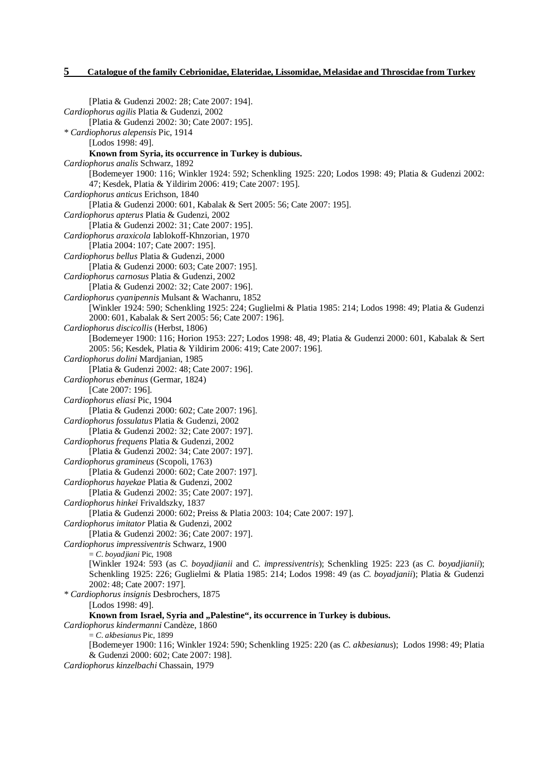[Platia & Gudenzi 2002: 28; Cate 2007: 194]. *Cardiophorus agilis* Platia & Gudenzi, 2002 [Platia & Gudenzi 2002: 30; Cate 2007: 195]. *\* Cardiophorus alepensis* Pic, 1914 [Lodos 1998: 49]. **Known from Syria, its occurrence in Turkey is dubious.**  *Cardiophorus analis* Schwarz, 1892 [Bodemeyer 1900: 116; Winkler 1924: 592; Schenkling 1925: 220; Lodos 1998: 49; Platia & Gudenzi 2002: 47; Kesdek, Platia & Yildirim 2006: 419; Cate 2007: 195]. *Cardiophorus anticus* Erichson, 1840 [Platia & Gudenzi 2000: 601, Kabalak & Sert 2005: 56; Cate 2007: 195]. *Cardiophorus apterus* Platia & Gudenzi, 2002 [Platia & Gudenzi 2002: 31; Cate 2007: 195]. *Cardiophorus araxicola* Iablokoff-Khnzorian, 1970 [Platia 2004: 107; Cate 2007: 195]. *Cardiophorus bellus* Platia & Gudenzi, 2000 [Platia & Gudenzi 2000: 603; Cate 2007: 195]. *Cardiophorus carnosus* Platia & Gudenzi, 2002 [Platia & Gudenzi 2002: 32; Cate 2007: 196]. *Cardiophorus cyanipennis* Mulsant & Wachanru, 1852 [Winkler 1924: 590; Schenkling 1925: 224; Guglielmi & Platia 1985: 214; Lodos 1998: 49; Platia & Gudenzi 2000: 601, Kabalak & Sert 2005: 56; Cate 2007: 196]. *Cardiophorus discicollis* (Herbst, 1806) [Bodemeyer 1900: 116; Horion 1953: 227; Lodos 1998: 48, 49; Platia & Gudenzi 2000: 601, Kabalak & Sert 2005: 56; Kesdek, Platia & Yildirim 2006: 419; Cate 2007: 196]. *Cardiophorus dolini* Mardjanian, 1985 [Platia & Gudenzi 2002: 48; Cate 2007: 196]. *Cardiophorus ebeninus* (Germar, 1824) [Cate 2007: 196]. *Cardiophorus eliasi* Pic, 1904 [Platia & Gudenzi 2000: 602; Cate 2007: 196]. *Cardiophorus fossulatus* Platia & Gudenzi, 2002 [Platia & Gudenzi 2002: 32; Cate 2007: 197]. *Cardiophorus frequens* Platia & Gudenzi, 2002 [Platia & Gudenzi 2002: 34; Cate 2007: 197]. *Cardiophorus gramineus* (Scopoli, 1763) [Platia & Gudenzi 2000: 602; Cate 2007: 197]. *Cardiophorus hayekae* Platia & Gudenzi, 2002 [Platia & Gudenzi 2002: 35; Cate 2007: 197]. *Cardiophorus hinkei* Frivaldszky, 1837 [Platia & Gudenzi 2000: 602; Preiss & Platia 2003: 104; Cate 2007: 197]. *Cardiophorus imitator* Platia & Gudenzi, 2002 [Platia & Gudenzi 2002: 36; Cate 2007: 197]. *Cardiophorus impressiventris* Schwarz, 1900 = *C. boyadjiani* Pic, 1908 [Winkler 1924: 593 (as *C. boyadjianii* and *C. impressiventris*); Schenkling 1925: 223 (as *C. boyadjianii*); Schenkling 1925: 226; Guglielmi & Platia 1985: 214; Lodos 1998: 49 (as *C. boyadjanii*); Platia & Gudenzi 2002: 48; Cate 2007: 197]. *\* Cardiophorus insignis* Desbrochers, 1875 [Lodos 1998: 49]. **Known from Israel, Syria and "Palestine", its occurrence in Turkey is dubious.**  *Cardiophorus kindermanni* Candèze, 1860 = *C. akbesianus* Pic, 1899 [Bodemeyer 1900: 116; Winkler 1924: 590; Schenkling 1925: 220 (as *C. akbesianus*); Lodos 1998: 49; Platia & Gudenzi 2000: 602; Cate 2007: 198]. *Cardiophorus kinzelbachi* Chassain, 1979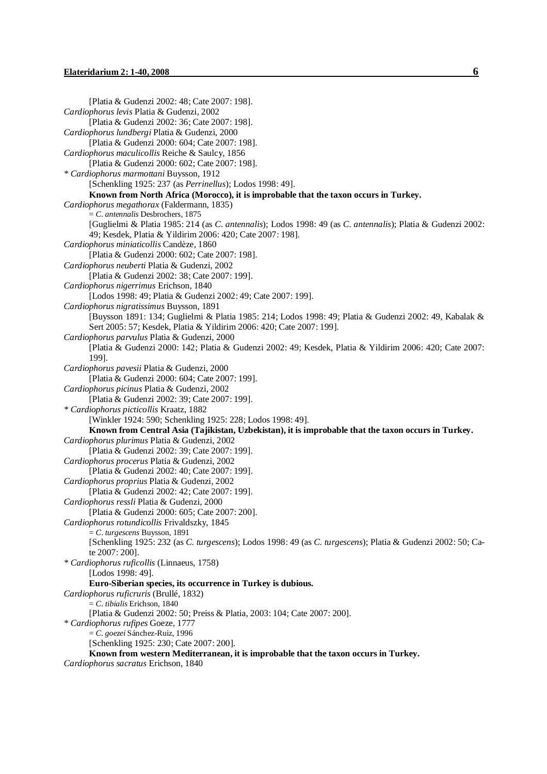[Platia & Gudenzi 2002: 48; Cate 2007: 198]. *Cardiophorus levis* Platia & Gudenzi, 2002 [Platia & Gudenzi 2002: 36; Cate 2007: 198]. *Cardiophorus lundbergi* Platia & Gudenzi, 2000 [Platia & Gudenzi 2000: 604; Cate 2007: 198]. *Cardiophorus maculicollis* Reiche & Saulcy, 1856 [Platia & Gudenzi 2000: 602; Cate 2007: 198]. *\* Cardiophorus marmottani* Buysson, 1912 [Schenkling 1925: 237 (as *Perrinellus*); Lodos 1998: 49]. **Known from North Africa (Morocco), it is improbable that the taxon occurs in Turkey.**  *Cardiophorus megathorax* (Faldermann, 1835) = *C. antennalis* Desbrochers, 1875 [Guglielmi & Platia 1985: 214 (as *C. antennalis*); Lodos 1998: 49 (as *C. antennalis*); Platia & Gudenzi 2002: 49; Kesdek, Platia & Yildirim 2006: 420; Cate 2007: 198]. *Cardiophorus miniaticollis* Candèze, 1860 [Platia & Gudenzi 2000: 602; Cate 2007: 198]. *Cardiophorus neuberti* Platia & Gudenzi, 2002 [Platia & Gudenzi 2002: 38; Cate 2007: 199]. *Cardiophorus nigerrimus* Erichson, 1840 [Lodos 1998: 49; Platia & Gudenzi 2002: 49; Cate 2007: 199]. *Cardiophorus nigratissimus* Buysson, 1891 [Buysson 1891: 134; Guglielmi & Platia 1985: 214; Lodos 1998: 49; Platia & Gudenzi 2002: 49, Kabalak & Sert 2005: 57; Kesdek, Platia & Yildirim 2006: 420; Cate 2007: 199]. *Cardiophorus parvulus* Platia & Gudenzi, 2000 [Platia & Gudenzi 2000: 142; Platia & Gudenzi 2002: 49; Kesdek, Platia & Yildirim 2006: 420; Cate 2007: 199]. *Cardiophorus pavesii* Platia & Gudenzi, 2000 [Platia & Gudenzi 2000: 604; Cate 2007: 199]. *Cardiophorus picinus* Platia & Gudenzi, 2002 [Platia & Gudenzi 2002: 39; Cate 2007: 199]. *\* Cardiophorus picticollis* Kraatz, 1882 [Winkler 1924: 590; Schenkling 1925: 228; Lodos 1998: 49]. **Known from Central Asia (Tajikistan, Uzbekistan), it is improbable that the taxon occurs in Turkey.**  *Cardiophorus plurimus* Platia & Gudenzi, 2002 [Platia & Gudenzi 2002: 39; Cate 2007: 199]. *Cardiophorus procerus* Platia & Gudenzi, 2002 [Platia & Gudenzi 2002: 40; Cate 2007: 199]. *Cardiophorus proprius* Platia & Gudenzi, 2002 [Platia & Gudenzi 2002: 42; Cate 2007: 199]. *Cardiophorus ressli* Platia & Gudenzi, 2000 [Platia & Gudenzi 2000: 605; Cate 2007: 200]. *Cardiophorus rotundicollis* Frivaldszky, 1845 = *C. turgescens* Buysson, 1891 [Schenkling 1925: 232 (as *C. turgescens*); Lodos 1998: 49 (as *C. turgescens*); Platia & Gudenzi 2002: 50; Cate 2007: 200]. *\* Cardiophorus ruficollis* (Linnaeus, 1758) [Lodos 1998: 49]. **Euro-Siberian species, its occurrence in Turkey is dubious.**  *Cardiophorus ruficruris* (Brullé, 1832) = *C. tibialis* Erichson, 1840 [Platia & Gudenzi 2002: 50; Preiss & Platia, 2003: 104; Cate 2007: 200]. *\* Cardiophorus rufipes* Goeze, 1777 = *C. goezei* Sánchez-Ruiz, 1996 [Schenkling 1925: 230; Cate 2007: 200]. **Known from western Mediterranean, it is improbable that the taxon occurs in Turkey.**  *Cardiophorus sacratus* Erichson, 1840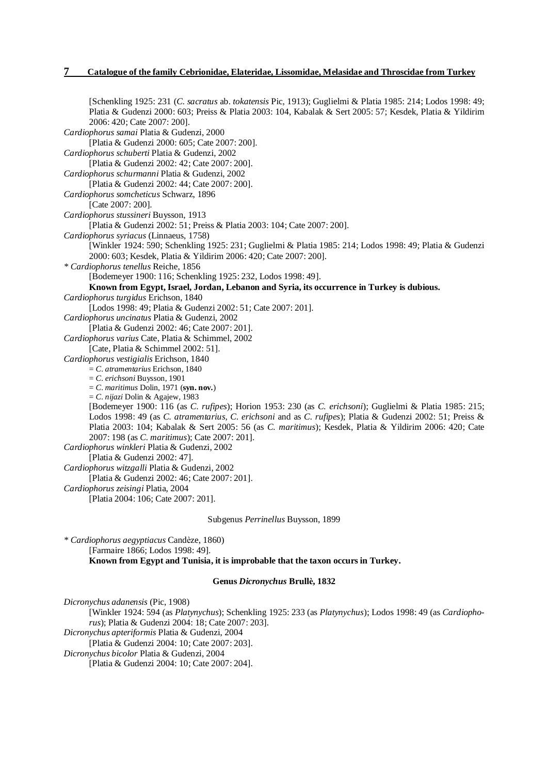[Schenkling 1925: 231 (*C. sacratus* ab. *tokatensis* Pic, 1913); Guglielmi & Platia 1985: 214; Lodos 1998: 49; Platia & Gudenzi 2000: 603; Preiss & Platia 2003: 104, Kabalak & Sert 2005: 57; Kesdek, Platia & Yildirim 2006: 420; Cate 2007: 200]. *Cardiophorus samai* Platia & Gudenzi, 2000 [Platia & Gudenzi 2000: 605; Cate 2007: 200]. *Cardiophorus schuberti* Platia & Gudenzi, 2002 [Platia & Gudenzi 2002: 42; Cate 2007: 200]. *Cardiophorus schurmanni* Platia & Gudenzi, 2002 [Platia & Gudenzi 2002: 44; Cate 2007: 200]. *Cardiophorus somcheticus* Schwarz, 1896 [Cate 2007: 200]. *Cardiophorus stussineri* Buysson, 1913 [Platia & Gudenzi 2002: 51; Preiss & Platia 2003: 104; Cate 2007: 200]. *Cardiophorus syriacus* (Linnaeus, 1758) [Winkler 1924: 590; Schenkling 1925: 231; Guglielmi & Platia 1985: 214; Lodos 1998: 49; Platia & Gudenzi 2000: 603; Kesdek, Platia & Yildirim 2006: 420; Cate 2007: 200]. *\* Cardiophorus tenellus* Reiche, 1856 [Bodemeyer 1900: 116; Schenkling 1925: 232, Lodos 1998: 49]. **Known from Egypt, Israel, Jordan, Lebanon and Syria, its occurrence in Turkey is dubious.**  *Cardiophorus turgidus* Erichson, 1840 [Lodos 1998: 49; Platia & Gudenzi 2002: 51; Cate 2007: 201]. *Cardiophorus uncinatus* Platia & Gudenzi, 2002 [Platia & Gudenzi 2002: 46; Cate 2007: 201]. *Cardiophorus varius* Cate, Platia & Schimmel, 2002 [Cate, Platia & Schimmel 2002: 51]. *Cardiophorus vestigialis* Erichson, 1840 = *C. atramentarius* Erichson, 1840 = *C. erichsoni* Buysson, 1901 = *C. maritimus* Dolin, 1971 (**syn. nov.**) = *C. nijazi* Dolin & Agajew, 1983 [Bodemeyer 1900: 116 (as *C. rufipes*); Horion 1953: 230 (as *C. erichsoni*); Guglielmi & Platia 1985: 215; Lodos 1998: 49 (as *C. atramentarius, C. erichsoni* and as *C. rufipes*); Platia & Gudenzi 2002: 51; Preiss & Platia 2003: 104; Kabalak & Sert 2005: 56 (as *C. maritimus*); Kesdek, Platia & Yildirim 2006: 420; Cate 2007: 198 (as *C. maritimus*); Cate 2007: 201]. *Cardiophorus winkleri* Platia & Gudenzi, 2002 [Platia & Gudenzi 2002: 47]. *Cardiophorus witzgalli* Platia & Gudenzi, 2002 [Platia & Gudenzi 2002: 46; Cate 2007: 201]. *Cardiophorus zeisingi* Platia, 2004 [Platia 2004: 106; Cate 2007: 201]. Subgenus *Perrinellus* Buysson, 1899

*\* Cardiophorus aegyptiacus* Candèze, 1860) [Farmaire 1866; Lodos 1998: 49]. **Known from Egypt and Tunisia, it is improbable that the taxon occurs in Turkey.** 

#### **Genus** *Dicronychus* **Brullè, 1832**

*Dicronychus adanensis* (Pic, 1908) [Winkler 1924: 594 (as *Platynychus*); Schenkling 1925: 233 (as *Platynychus*); Lodos 1998: 49 (as *Cardiophorus*); Platia & Gudenzi 2004: 18; Cate 2007: 203]. *Dicronychus apteriformis* Platia & Gudenzi, 2004 [Platia & Gudenzi 2004: 10; Cate 2007: 203]. *Dicronychus bicolor* Platia & Gudenzi, 2004

[Platia & Gudenzi 2004: 10; Cate 2007: 204].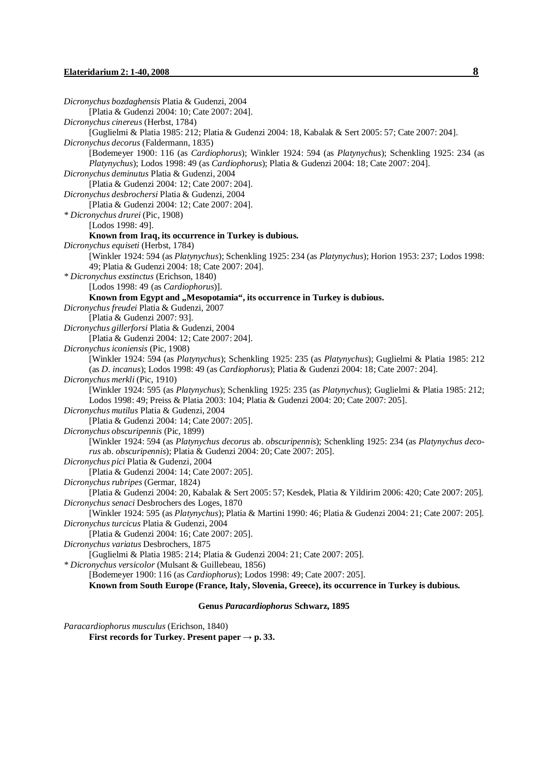*Dicronychus bozdaghensis* Platia & Gudenzi, 2004 [Platia & Gudenzi 2004: 10; Cate 2007: 204]. *Dicronychus cinereus* (Herbst, 1784) [Guglielmi & Platia 1985: 212; Platia & Gudenzi 2004: 18, Kabalak & Sert 2005: 57; Cate 2007: 204]. *Dicronychus decorus* (Faldermann, 1835) [Bodemeyer 1900: 116 (as *Cardiophorus*); Winkler 1924: 594 (as *Platynychus*); Schenkling 1925: 234 (as *Platynychus*); Lodos 1998: 49 (as *Cardiophorus*); Platia & Gudenzi 2004: 18; Cate 2007: 204]. *Dicronychus deminutus* Platia & Gudenzi, 2004 [Platia & Gudenzi 2004: 12; Cate 2007: 204]. *Dicronychus desbrochersi* Platia & Gudenzi, 2004 [Platia & Gudenzi 2004: 12; Cate 2007: 204]. *\* Dicronychus drurei* (Pic, 1908) [Lodos 1998: 49]. **Known from Iraq, its occurrence in Turkey is dubious.**  *Dicronychus equiseti* (Herbst, 1784) [Winkler 1924: 594 (as *Platynychus*); Schenkling 1925: 234 (as *Platynychus*); Horion 1953: 237; Lodos 1998: 49; Platia & Gudenzi 2004: 18; Cate 2007: 204]. *\* Dicronychus exstinctus* (Erichson, 1840) [Lodos 1998: 49 (as *Cardiophorus*)]. **Known from Egypt and "Mesopotamia", its occurrence in Turkey is dubious.**  *Dicronychus freudei* Platia & Gudenzi, 2007 [Platia & Gudenzi 2007: 93]. *Dicronychus gillerforsi* Platia & Gudenzi, 2004 [Platia & Gudenzi 2004: 12; Cate 2007: 204]. *Dicronychus iconiensis* (Pic, 1908) [Winkler 1924: 594 (as *Platynychus*); Schenkling 1925: 235 (as *Platynychus*); Guglielmi & Platia 1985: 212 (as *D. incanus*); Lodos 1998: 49 (as *Cardiophorus*); Platia & Gudenzi 2004: 18; Cate 2007: 204]. *Dicronychus merkli* (Pic, 1910) [Winkler 1924: 595 (as *Platynychus*); Schenkling 1925: 235 (as *Platynychus*); Guglielmi & Platia 1985: 212; Lodos 1998: 49; Preiss & Platia 2003: 104; Platia & Gudenzi 2004: 20; Cate 2007: 205]. *Dicronychus mutilus* Platia & Gudenzi, 2004 [Platia & Gudenzi 2004: 14; Cate 2007: 205]. *Dicronychus obscuripennis* (Pic, 1899) [Winkler 1924: 594 (as *Platynychus decorus* ab. *obscuripennis*); Schenkling 1925: 234 (as *Platynychus decorus* ab. *obscuripennis*); Platia & Gudenzi 2004: 20; Cate 2007: 205]. *Dicronychus pici* Platia & Gudenzi, 2004 [Platia & Gudenzi 2004: 14; Cate 2007: 205]. *Dicronychus rubripes* (Germar, 1824) [Platia & Gudenzi 2004: 20, Kabalak & Sert 2005: 57; Kesdek, Platia & Yildirim 2006: 420; Cate 2007: 205]. *Dicronychus senaci* Desbrochers des Loges, 1870 [Winkler 1924: 595 (as *Platynychus*); Platia & Martini 1990: 46; Platia & Gudenzi 2004: 21; Cate 2007: 205]. *Dicronychus turcicus* Platia & Gudenzi, 2004 [Platia & Gudenzi 2004: 16; Cate 2007: 205]. *Dicronychus variatus* Desbrochers, 1875 [Guglielmi & Platia 1985: 214; Platia & Gudenzi 2004: 21; Cate 2007: 205]. *\* Dicronychus versicolor* (Mulsant & Guillebeau, 1856) [Bodemeyer 1900: 116 (as *Cardiophorus*); Lodos 1998: 49; Cate 2007: 205]. **Known from South Europe (France, Italy, Slovenia, Greece), its occurrence in Turkey is dubious. Genus** *Paracardiophorus* **Schwarz, 1895**

*Paracardiophorus musculus* (Erichson, 1840)

**First records for Turkey. Present paper**  $\rightarrow$  **p. 33.**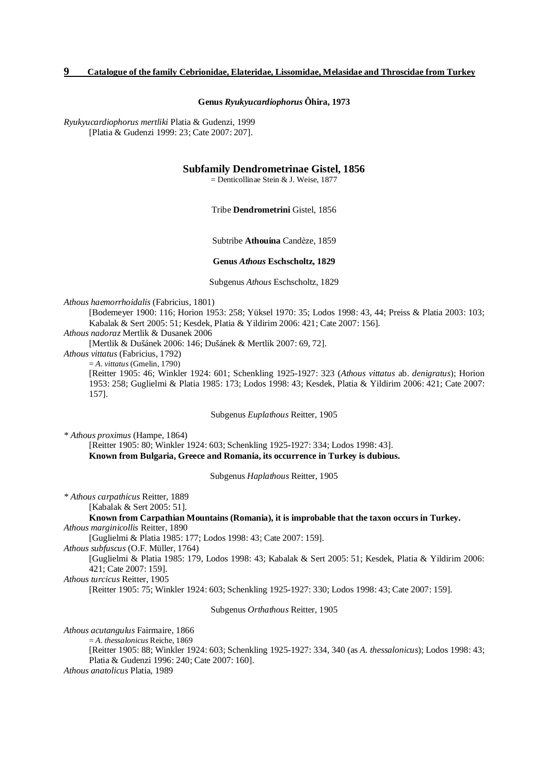**Genus** *Ryukyucardiophorus* **Ôhira, 1973** 

*Ryukyucardiophorus mertliki* Platia & Gudenzi, 1999 [Platia & Gudenzi 1999: 23; Cate 2007: 207].

## **Subfamily Dendrometrinae Gistel, 1856**

= Denticollinae Stein & J. Weise, 1877

Tribe **Dendrometrini** Gistel, 1856

Subtribe **Athouina** Candèze, 1859

#### **Genus** *Athous* **Eschscholtz, 1829**

Subgenus *Athous* Eschscholtz, 1829

*Athous haemorrhoidalis* (Fabricius, 1801)

[Bodemeyer 1900: 116; Horion 1953: 258; Yüksel 1970: 35; Lodos 1998: 43, 44; Preiss & Platia 2003: 103; Kabalak & Sert 2005: 51; Kesdek, Platia & Yildirim 2006: 421; Cate 2007: 156].

*Athous nadoraz* Mertlik & Dusanek 2006

[Mertlik & Dušánek 2006: 146; Dušánek & Mertlik 2007: 69, 72].

*Athous vittatus* (Fabricius, 1792)

= *A. vittatus* (Gmelin, 1790)

[Reitter 1905: 46; Winkler 1924: 601; Schenkling 1925-1927: 323 (*Athous vittatus* ab. *denigratus*); Horion 1953: 258; Guglielmi & Platia 1985: 173; Lodos 1998: 43; Kesdek, Platia & Yildirim 2006: 421; Cate 2007: 157].

Subgenus *Euplathous* Reitter, 1905

*\* Athous proximus* (Hampe, 1864)

[Reitter 1905: 80; Winkler 1924: 603; Schenkling 1925-1927: 334; Lodos 1998: 43]. **Known from Bulgaria, Greece and Romania, its occurrence in Turkey is dubious.** 

Subgenus *Haplathous* Reitter, 1905

*\* Athous carpathicus* Reitter, 1889

[Kabalak & Sert 2005: 51].

**Known from Carpathian Mountains (Romania), it is improbable that the taxon occurs in Turkey.**  *Athous marginicollis* Reitter, 1890

[Guglielmi & Platia 1985: 177; Lodos 1998: 43; Cate 2007: 159].

*Athous subfuscus* (O.F. Müller, 1764)

[Guglielmi & Platia 1985: 179, Lodos 1998: 43; Kabalak & Sert 2005: 51; Kesdek, Platia & Yildirim 2006: 421; Cate 2007: 159].

*Athous turcicus* Reitter, 1905

[Reitter 1905: 75; Winkler 1924: 603; Schenkling 1925-1927: 330; Lodos 1998: 43; Cate 2007: 159].

#### Subgenus *Orthathous* Reitter, 1905

*Athous acutangulus* Fairmaire, 1866

= *A. thessalonicus* Reiche, 1869

[Reitter 1905: 88; Winkler 1924: 603; Schenkling 1925-1927: 334, 340 (as *A. thessalonicus*); Lodos 1998: 43; Platia & Gudenzi 1996: 240; Cate 2007: 160].

*Athous anatolicus* Platia, 1989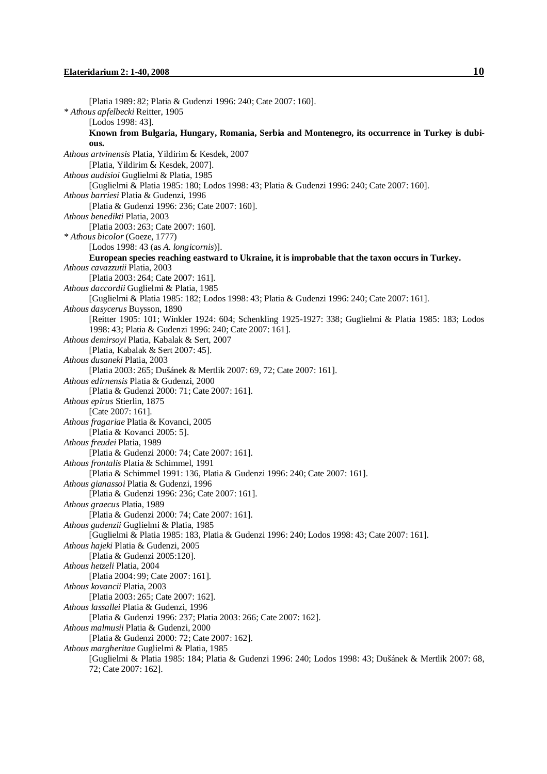[Platia 1989: 82; Platia & Gudenzi 1996: 240; Cate 2007: 160]. *\* Athous apfelbecki* Reitter, 1905 [Lodos 1998: 43]. **Known from Bulgaria, Hungary, Romania, Serbia and Montenegro, its occurrence in Turkey is dubious.**  *Athous artvinensis* Platia, Yildirim & Kesdek, 2007 [Platia, Yildirim & Kesdek, 2007]. *Athous audisioi* Guglielmi & Platia, 1985 [Guglielmi & Platia 1985: 180; Lodos 1998: 43; Platia & Gudenzi 1996: 240; Cate 2007: 160]. *Athous barriesi* Platia & Gudenzi, 1996 [Platia & Gudenzi 1996: 236; Cate 2007: 160]. *Athous benedikti* Platia, 2003 [Platia 2003: 263; Cate 2007: 160]. *\* Athous bicolor* (Goeze, 1777) [Lodos 1998: 43 (as *A. longicornis*)]. **European species reaching eastward to Ukraine, it is improbable that the taxon occurs in Turkey.**  *Athous cavazzutii* Platia, 2003 [Platia 2003: 264; Cate 2007: 161]. *Athous daccordii* Guglielmi & Platia, 1985 [Guglielmi & Platia 1985: 182; Lodos 1998: 43; Platia & Gudenzi 1996: 240; Cate 2007: 161]. *Athous dasycerus* Buysson, 1890 [Reitter 1905: 101; Winkler 1924: 604; Schenkling 1925-1927: 338; Guglielmi & Platia 1985: 183; Lodos 1998: 43; Platia & Gudenzi 1996: 240; Cate 2007: 161]. *Athous demirsoyi* Platia, Kabalak & Sert, 2007 [Platia, Kabalak & Sert 2007: 45]. *Athous dusaneki* Platia, 2003 [Platia 2003: 265; Dušánek & Mertlik 2007: 69, 72; Cate 2007: 161]. *Athous edirnensis* Platia & Gudenzi, 2000 [Platia & Gudenzi 2000: 71; Cate 2007: 161]. *Athous epirus* Stierlin, 1875 [Cate 2007: 161]. *Athous fragariae* Platia & Kovanci, 2005 [Platia & Kovanci 2005: 5]. *Athous freudei* Platia, 1989 [Platia & Gudenzi 2000: 74; Cate 2007: 161]. *Athous frontalis* Platia & Schimmel, 1991 [Platia & Schimmel 1991: 136, Platia & Gudenzi 1996: 240; Cate 2007: 161]. *Athous gianassoi* Platia & Gudenzi, 1996 [Platia & Gudenzi 1996: 236; Cate 2007: 161]. *Athous graecus* Platia, 1989 [Platia & Gudenzi 2000: 74; Cate 2007: 161]. *Athous gudenzii* Guglielmi & Platia, 1985 [Guglielmi & Platia 1985: 183, Platia & Gudenzi 1996: 240; Lodos 1998: 43; Cate 2007: 161]. *Athous hajeki* Platia & Gudenzi, 2005 [Platia & Gudenzi 2005:120]. *Athous hetzeli* Platia, 2004 [Platia 2004: 99; Cate 2007: 161]. *Athous kovancii* Platia, 2003 [Platia 2003: 265; Cate 2007: 162]. *Athous lassallei* Platia & Gudenzi, 1996 [Platia & Gudenzi 1996: 237; Platia 2003: 266; Cate 2007: 162]. *Athous malmusii* Platia & Gudenzi, 2000 [Platia & Gudenzi 2000: 72; Cate 2007: 162]. *Athous margheritae* Guglielmi & Platia, 1985 [Guglielmi & Platia 1985: 184; Platia & Gudenzi 1996: 240; Lodos 1998: 43; Dušánek & Mertlik 2007: 68, 72; Cate 2007: 162].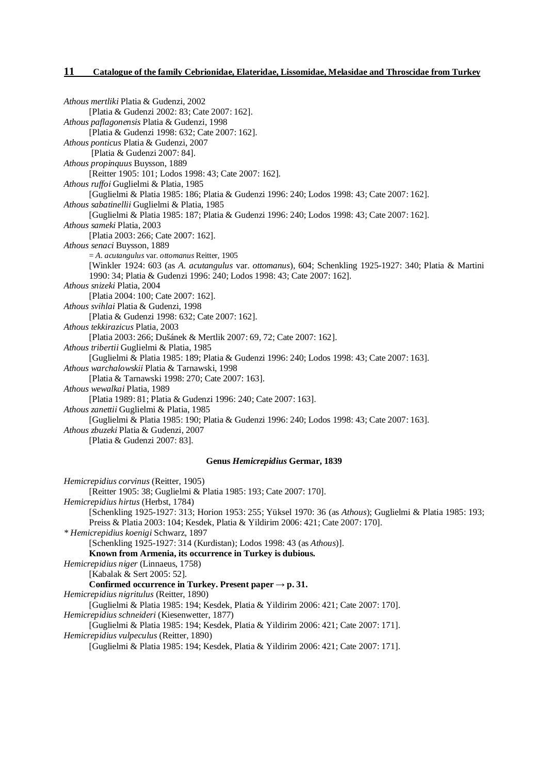*Athous mertliki* Platia & Gudenzi, 2002 [Platia & Gudenzi 2002: 83; Cate 2007: 162]. *Athous paflagonensis* Platia & Gudenzi, 1998 [Platia & Gudenzi 1998: 632; Cate 2007: 162]. *Athous ponticus* Platia & Gudenzi, 2007 [Platia & Gudenzi 2007: 84]. *Athous propinquus* Buysson, 1889 [Reitter 1905: 101; Lodos 1998: 43; Cate 2007: 162]. *Athous ruf oi* Guglielmi & Platia, 1985 [Guglielmi & Platia 1985: 186; Platia & Gudenzi 1996: 240; Lodos 1998: 43; Cate 2007: 162]. *Athous sabatinellii* Guglielmi & Platia, 1985 [Guglielmi & Platia 1985: 187; Platia & Gudenzi 1996: 240; Lodos 1998: 43; Cate 2007: 162]. *Athous sameki* Platia, 2003 [Platia 2003: 266; Cate 2007: 162]. *Athous senaci* Buysson, 1889 = *A. acutangulus* var. *ottomanus* Reitter, 1905 [Winkler 1924: 603 (as *A. acutangulus* var. *ottomanus*), 604; Schenkling 1925-1927: 340; Platia & Martini 1990: 34; Platia & Gudenzi 1996: 240; Lodos 1998: 43; Cate 2007: 162]. *Athous snizeki* Platia, 2004 [Platia 2004: 100; Cate 2007: 162]. *Athous svihlai* Platia & Gudenzi, 1998 [Platia & Gudenzi 1998: 632; Cate 2007: 162]. *Athous tekkirazicus* Platia, 2003 [Platia 2003: 266; Dušánek & Mertlik 2007: 69, 72; Cate 2007: 162]. *Athous tribertii* Guglielmi & Platia, 1985 [Guglielmi & Platia 1985: 189; Platia & Gudenzi 1996: 240; Lodos 1998: 43; Cate 2007: 163]. *Athous warchalowskii* Platia & Tarnawski, 1998 [Platia & Tarnawski 1998: 270; Cate 2007: 163]. *Athous wewalkai* Platia, 1989 [Platia 1989: 81; Platia & Gudenzi 1996: 240; Cate 2007: 163]. *Athous zanettii* Guglielmi & Platia, 1985 [Guglielmi & Platia 1985: 190; Platia & Gudenzi 1996: 240; Lodos 1998: 43; Cate 2007: 163]. *Athous zbuzeki* Platia & Gudenzi, 2007 [Platia & Gudenzi 2007: 83].

#### **Genus** *Hemicrepidius* **Germar, 1839**

*Hemicrepidius corvinus* (Reitter, 1905) [Reitter 1905: 38; Guglielmi & Platia 1985: 193; Cate 2007: 170]. *Hemicrepidius hirtus* (Herbst, 1784) [Schenkling 1925-1927: 313; Horion 1953: 255; Yüksel 1970: 36 (as *Athous*); Guglielmi & Platia 1985: 193; Preiss & Platia 2003: 104; Kesdek, Platia & Yildirim 2006: 421; Cate 2007: 170]. *\* Hemicrepidius koenigi* Schwarz, 1897 [Schenkling 1925-1927: 314 (Kurdistan); Lodos 1998: 43 (as *Athous*)]. **Known from Armenia, its occurrence in Turkey is dubious.**  *Hemicrepidius niger* (Linnaeus, 1758) [Kabalak & Sert 2005: 52]. **Confirmed occurrence in Turkey. Present paper → p. 31.**  *Hemicrepidius nigritulus* (Reitter, 1890) [Guglielmi & Platia 1985: 194; Kesdek, Platia & Yildirim 2006: 421; Cate 2007: 170]. *Hemicrepidius schneideri* (Kiesenwetter, 1877) [Guglielmi & Platia 1985: 194; Kesdek, Platia & Yildirim 2006: 421; Cate 2007: 171]. *Hemicrepidius vulpeculus* (Reitter, 1890)

[Guglielmi & Platia 1985: 194; Kesdek, Platia & Yildirim 2006: 421; Cate 2007: 171].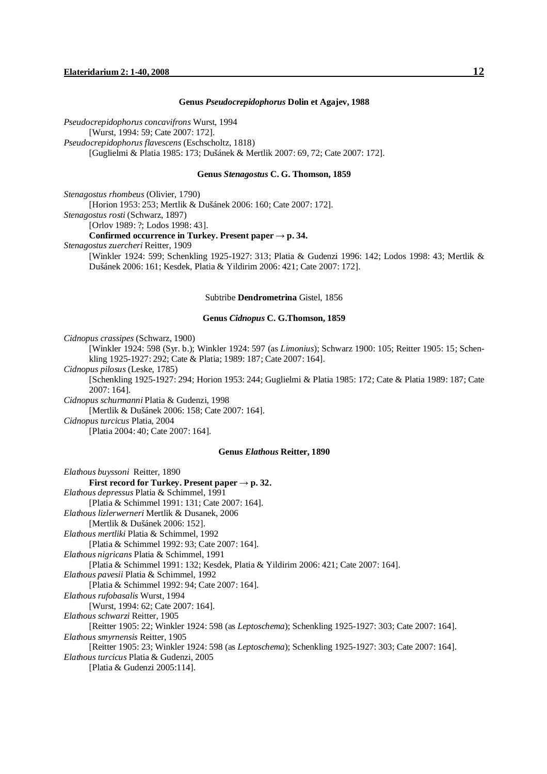#### **Genus** *Pseudocrepidophorus* **Dolin et Agajev, 1988**

*Pseudocrepidophorus concavifrons* Wurst, 1994 [Wurst, 1994: 59; Cate 2007: 172]. *Pseudocrepidophorus flavescens* (Eschscholtz, 1818) [Guglielmi & Platia 1985: 173; Dušánek & Mertlik 2007: 69, 72; Cate 2007: 172].

#### **Genus** *Stenagostus* **C. G. Thomson, 1859**

*Stenagostus rhombeus* (Olivier, 1790) [Horion 1953: 253; Mertlik & Dušánek 2006: 160; Cate 2007: 172]. *Stenagostus rosti* (Schwarz, 1897) [Orlov 1989: ?; Lodos 1998: 43]. **Confirmed occurrence** in **Turkey. Present**  $\text{paper} \rightarrow \text{p. 34.}$ *Stenagostus zuercheri* Reitter, 1909 [Winkler 1924: 599; Schenkling 1925-1927: 313; Platia & Gudenzi 1996: 142; Lodos 1998: 43; Mertlik & Dušánek 2006: 161; Kesdek, Platia & Yildirim 2006: 421; Cate 2007: 172].

#### Subtribe **Dendrometrina** Gistel, 1856

#### **Genus** *Cidnopus* **C. G.Thomson, 1859**

*Cidnopus crassipes* (Schwarz, 1900)

[Winkler 1924: 598 (Syr. b.); Winkler 1924: 597 (as *Limonius*); Schwarz 1900: 105; Reitter 1905: 15; Schenkling 1925-1927: 292; Cate & Platia; 1989: 187; Cate 2007: 164].

*Cidnopus pilosus* (Leske, 1785)

[Schenkling 1925-1927: 294; Horion 1953: 244; Guglielmi & Platia 1985: 172; Cate & Platia 1989: 187; Cate 2007: 164].

*Cidnopus schurmanni* Platia & Gudenzi, 1998

[Mertlik & Dušánek 2006: 158; Cate 2007: 164].

*Cidnopus turcicus* Platia, 2004

[Platia 2004: 40; Cate 2007: 164].

#### **Genus** *Elathous* **Reitter, 1890**

*Elathous buyssoni* Reitter, 1890 **First record for Turkey. Present paper → p. 32.**  *Elathous depressus* Platia & Schimmel, 1991 [Platia & Schimmel 1991: 131; Cate 2007: 164]. *Elathous lizlerwerneri* Mertlik & Dusanek, 2006 [Mertlik & Dušánek 2006: 152]. *Elathous mertliki* Platia & Schimmel, 1992 [Platia & Schimmel 1992: 93; Cate 2007: 164]. *Elathous nigricans* Platia & Schimmel, 1991 [Platia & Schimmel 1991: 132; Kesdek, Platia & Yildirim 2006: 421; Cate 2007: 164]. *Elathous pavesii* Platia & Schimmel, 1992 [Platia & Schimmel 1992: 94; Cate 2007: 164]. *Elathous rufobasalis* Wurst, 1994 [Wurst, 1994: 62; Cate 2007: 164]. *Elathous schwarzi* Reitter, 1905 [Reitter 1905: 22; Winkler 1924: 598 (as *Leptoschema*); Schenkling 1925-1927: 303; Cate 2007: 164]. *Elathous smyrnensis* Reitter, 1905 [Reitter 1905: 23; Winkler 1924: 598 (as *Leptoschema*); Schenkling 1925-1927: 303; Cate 2007: 164]. *Elathous turcicus* Platia & Gudenzi, 2005 [Platia & Gudenzi 2005:114].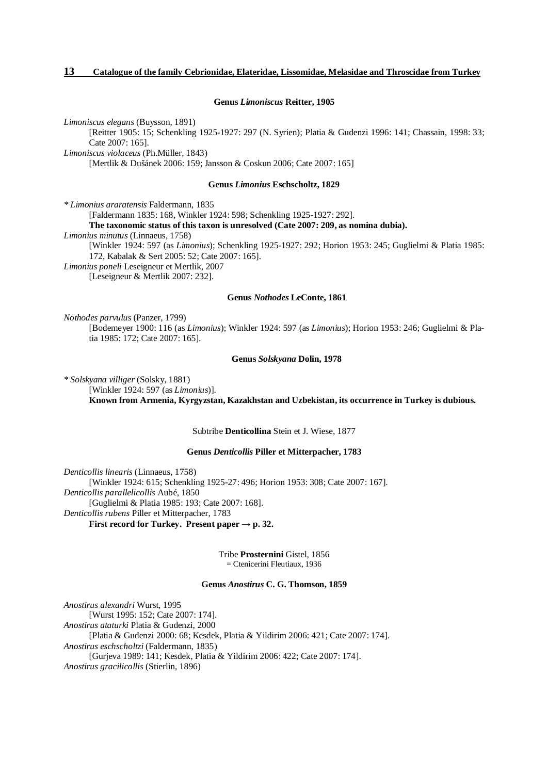#### **Genus** *Limoniscus* **Reitter, 1905**

*Limoniscus elegans* (Buysson, 1891)

[Reitter 1905: 15; Schenkling 1925-1927: 297 (N. Syrien); Platia & Gudenzi 1996: 141; Chassain, 1998: 33; Cate 2007: 165].

*Limoniscus violaceus* (Ph.Müller, 1843)

[Mertlik & Dušánek 2006: 159; Jansson & Coskun 2006; Cate 2007: 165]

#### **Genus** *Limonius* **Eschscholtz, 1829**

*\* Limonius araratensis* Faldermann, 1835

[Faldermann 1835: 168, Winkler 1924: 598; Schenkling 1925-1927: 292].

**The taxonomic status of this taxon is unresolved (Cate 2007: 209, as nomina dubia).** 

*Limonius minutus* (Linnaeus, 1758)

[Winkler 1924: 597 (as *Limonius*); Schenkling 1925-1927: 292; Horion 1953: 245; Guglielmi & Platia 1985: 172, Kabalak & Sert 2005: 52; Cate 2007: 165].

*Limonius poneli* Leseigneur et Mertlik, 2007

[Leseigneur & Mertlik 2007: 232].

#### **Genus** *Nothodes* **LeConte, 1861**

*Nothodes parvulus* (Panzer, 1799)

[Bodemeyer 1900: 116 (as *Limonius*); Winkler 1924: 597 (as *Limonius*); Horion 1953: 246; Guglielmi & Platia 1985: 172; Cate 2007: 165].

## **Genus** *Solskyana* **Dolin, 1978**

*\* Solskyana villiger* (Solsky, 1881) [Winkler 1924: 597 (as *Limonius*)]. **Known from Armenia, Kyrgyzstan, Kazakhstan and Uzbekistan, its occurrence in Turkey is dubious.** 

Subtribe **Denticollina** Stein et J. Wiese, 1877

#### **Genus** *Denticollis* **Piller et Mitterpacher, 1783**

*Denticollis linearis* (Linnaeus, 1758) [Winkler 1924: 615; Schenkling 1925-27: 496; Horion 1953: 308; Cate 2007: 167]. *Denticollis parallelicollis* Aubé, 1850 [Guglielmi & Platia 1985: 193; Cate 2007: 168]. *Denticollis rubens* Piller et Mitterpacher, 1783 **First record for Turkey. Present paper**  $\rightarrow$  **p. 32.** 

> Tribe **Prosternini** Gistel, 1856 = Ctenicerini Fleutiaux, 1936

#### **Genus** *Anostirus* **C. G. Thomson, 1859**

*Anostirus alexandri* Wurst, 1995 [Wurst 1995: 152; Cate 2007: 174]. *Anostirus ataturki* Platia & Gudenzi, 2000 [Platia & Gudenzi 2000: 68; Kesdek, Platia & Yildirim 2006: 421; Cate 2007: 174]. *Anostirus eschscholtzi* (Faldermann, 1835) [Gurjeva 1989: 141; Kesdek, Platia & Yildirim 2006: 422; Cate 2007: 174]. *Anostirus gracilicollis* (Stierlin, 1896)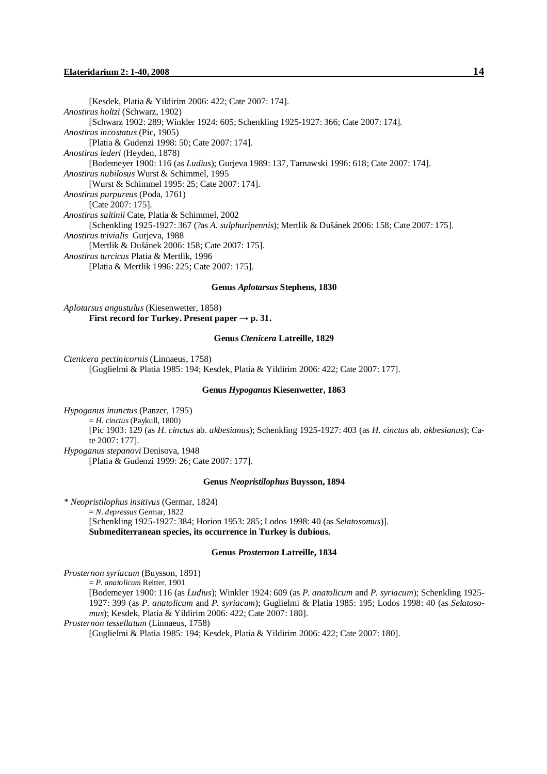#### **Elateridarium 2: 1-40, 2008 14**

[Kesdek, Platia & Yildirim 2006: 422; Cate 2007: 174]. *Anostirus holtzi* (Schwarz, 1902) [Schwarz 1902: 289; Winkler 1924: 605; Schenkling 1925-1927: 366; Cate 2007: 174]. *Anostirus incostatus* (Pic, 1905) [Platia & Gudenzi 1998: 50; Cate 2007: 174]. *Anostirus lederi* (Heyden, 1878) [Bodemeyer 1900: 116 (as *Ludius*); Gurjeva 1989: 137, Tarnawski 1996: 618; Cate 2007: 174]. *Anostirus nubilosus* Wurst & Schimmel, 1995 [Wurst & Schimmel 1995: 25; Cate 2007: 174]. *Anostirus purpureus* (Poda, 1761) [Cate 2007: 175]. *Anostirus saltinii* Cate, Platia & Schimmel, 2002 [Schenkling 1925-1927: 367 (?as *A. sulphuripennis*); Mertlik & Dušánek 2006: 158; Cate 2007: 175]. *Anostirus trivialis* Gurjeva, 1988 [Mertlik & Dušánek 2006: 158; Cate 2007: 175]. *Anostirus turcicus* Platia & Mertlik, 1996 [Platia & Mertlik 1996: 225; Cate 2007: 175].

#### **Genus** *Aplotarsus* **Stephens, 1830**

*Aplotarsus angustulus* (Kiesenwetter, 1858) **First record for Turkey. Present paper**  $\rightarrow$  **p. 31.** 

#### **Genus** *Ctenicera* **Latreille, 1829**

*Ctenicera pectinicornis* (Linnaeus, 1758) [Guglielmi & Platia 1985: 194; Kesdek, Platia & Yildirim 2006: 422; Cate 2007: 177].

#### **Genus** *Hypoganus* **Kiesenwetter, 1863**

*Hypoganus inunctus* (Panzer, 1795) = *H. cinctus* (Paykull, 1800) [Pic 1903: 129 (as *H. cinctus* ab. *akbesianus*); Schenkling 1925-1927: 403 (as *H. cinctus* ab. *akbesianus*); Cate 2007: 177]. *Hypoganus stepanovi* Denisova, 1948 [Platia & Gudenzi 1999: 26; Cate 2007: 177].

## **Genus** *Neopristilophus* **Buysson, 1894**

*\* Neopristilophus insitivus* (Germar, 1824) = *N. depressus* Germar, 1822 [Schenkling 1925-1927: 384; Horion 1953: 285; Lodos 1998: 40 (as *Selatosomus*)]. **Submediterranean species, its occurrence in Turkey is dubious.** 

#### **Genus** *Prosternon* **Latreille, 1834**

*Prosternon syriacum* (Buysson, 1891)

= *P. anatolicum* Reitter, 1901

[Bodemeyer 1900: 116 (as *Ludius*); Winkler 1924: 609 (as *P. anatolicum* and *P. syriacum*); Schenkling 1925- 1927: 399 (as *P. anatolicum* and *P. syriacum*); Guglielmi & Platia 1985: 195; Lodos 1998: 40 (as *Selatosomus*); Kesdek, Platia & Yildirim 2006: 422; Cate 2007: 180].

*Prosternon tessellatum* (Linnaeus, 1758)

[Guglielmi & Platia 1985: 194; Kesdek, Platia & Yildirim 2006: 422; Cate 2007: 180].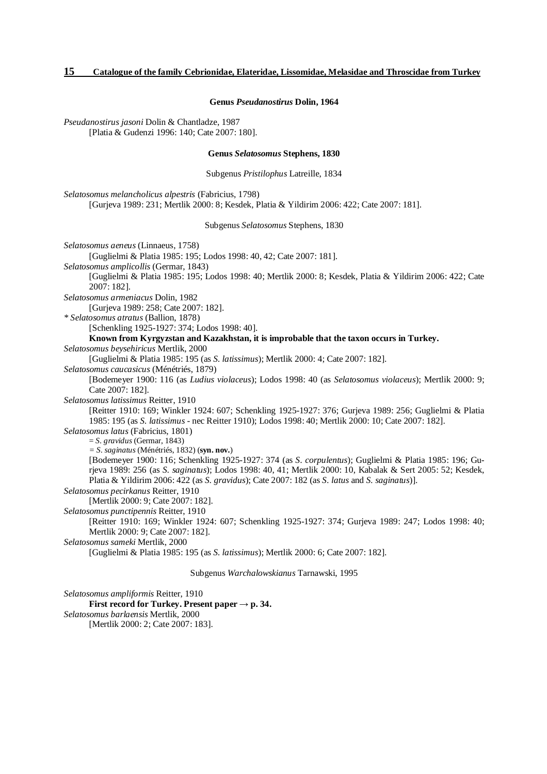#### **Genus** *Pseudanostirus* **Dolin, 1964**

*Pseudanostirus jasoni* Dolin & Chantladze, 1987 [Platia & Gudenzi 1996: 140; Cate 2007: 180].

#### **Genus** *Selatosomus* **Stephens, 1830**

Subgenus *Pristilophus* Latreille, 1834

*Selatosomus melancholicus alpestris* (Fabricius, 1798) [Gurjeva 1989: 231; Mertlik 2000: 8; Kesdek, Platia & Yildirim 2006: 422; Cate 2007: 181].

Subgenus *Selatosomus* Stephens, 1830

*Selatosomus aeneus* (Linnaeus, 1758) [Guglielmi & Platia 1985: 195; Lodos 1998: 40, 42; Cate 2007: 181]. *Selatosomus amplicollis* (Germar, 1843) [Guglielmi & Platia 1985: 195; Lodos 1998: 40; Mertlik 2000: 8; Kesdek, Platia & Yildirim 2006: 422; Cate 2007: 182]. *Selatosomus armeniacus* Dolin, 1982 [Gurjeva 1989: 258; Cate 2007: 182]. *\* Selatosomus atratus* (Ballion, 1878) [Schenkling 1925-1927: 374; Lodos 1998: 40]. **Known from Kyrgyzstan and Kazakhstan, it is improbable that the taxon occurs in Turkey.**  *Selatosomus beysehiricus* Mertlik, 2000 [Guglielmi & Platia 1985: 195 (as *S. latissimus*); Mertlik 2000: 4; Cate 2007: 182]. *Selatosomus caucasicus* (Ménétriés, 1879) [Bodemeyer 1900: 116 (as *Ludius violaceus*); Lodos 1998: 40 (as *Selatosomus violaceus*); Mertlik 2000: 9; Cate 2007: 182]. *Selatosomus latissimus* Reitter, 1910 [Reitter 1910: 169; Winkler 1924: 607; Schenkling 1925-1927: 376; Gurjeva 1989: 256; Guglielmi & Platia 1985: 195 (as *S. latissimus* - nec Reitter 1910); Lodos 1998: 40; Mertlik 2000: 10; Cate 2007: 182]. *Selatosomus latus* (Fabricius, 1801) = *S. gravidus* (Germar, 1843) *= S. saginatus* (Ménétriés, 1832) (**syn. nov.**) [Bodemeyer 1900: 116; Schenkling 1925-1927: 374 (as *S. corpulentus*); Guglielmi & Platia 1985: 196; Gurjeva 1989: 256 (as *S. saginatus*); Lodos 1998: 40, 41; Mertlik 2000: 10, Kabalak & Sert 2005: 52; Kesdek, Platia & Yildirim 2006: 422 (as *S. gravidus*); Cate 2007: 182 (as *S. latus* and *S. saginatus*)]. *Selatosomus pecirkanus* Reitter, 1910 [Mertlik 2000: 9; Cate 2007: 182]. *Selatosomus punctipennis* Reitter, 1910 [Reitter 1910: 169; Winkler 1924: 607; Schenkling 1925-1927: 374; Gurjeva 1989: 247; Lodos 1998: 40; Mertlik 2000: 9; Cate 2007: 182]. *Selatosomus sameki* Mertlik, 2000 [Guglielmi & Platia 1985: 195 (as *S. latissimus*); Mertlik 2000: 6; Cate 2007: 182]. Subgenus *Warchalowskianus* Tarnawski, 1995

*Selatosomus ampliformis* Reitter, 1910 **First record for Turkey. Present paper → p. 34.**  *Selatosomus barlaensis* Mertlik, 2000 [Mertlik 2000: 2; Cate 2007: 183].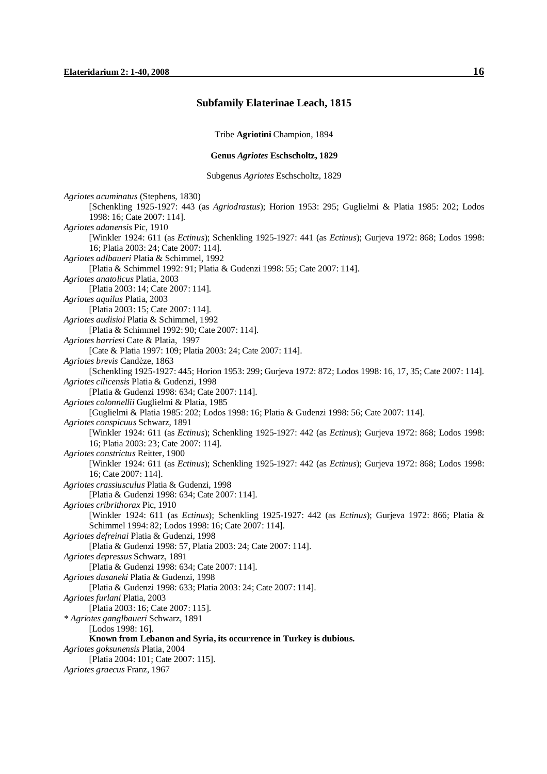## **Subfamily Elaterinae Leach, 1815**

Tribe **Agriotini** Champion, 1894

### **Genus** *Agriotes* **Eschscholtz, 1829**

Subgenus *Agriotes* Eschscholtz, 1829

*Agriotes acuminatus* (Stephens, 1830) [Schenkling 1925-1927: 443 (as *Agriodrastus*); Horion 1953: 295; Guglielmi & Platia 1985: 202; Lodos 1998: 16; Cate 2007: 114]. *Agriotes adanensis* Pic, 1910 [Winkler 1924: 611 (as *Ectinus*); Schenkling 1925-1927: 441 (as *Ectinus*); Gurjeva 1972: 868; Lodos 1998: 16; Platia 2003: 24; Cate 2007: 114]. *Agriotes adlbaueri* Platia & Schimmel, 1992 [Platia & Schimmel 1992: 91; Platia & Gudenzi 1998: 55; Cate 2007: 114]. *Agriotes anatolicus* Platia, 2003 [Platia 2003: 14; Cate 2007: 114]. *Agriotes aquilus* Platia, 2003 [Platia 2003: 15; Cate 2007: 114]. *Agriotes audisioi* Platia & Schimmel, 1992 [Platia & Schimmel 1992: 90; Cate 2007: 114]. *Agriotes barriesi* Cate & Platia, 1997 [Cate & Platia 1997: 109; Platia 2003: 24; Cate 2007: 114]. *Agriotes brevis* Candèze, 1863 [Schenkling 1925-1927: 445; Horion 1953: 299; Gurjeva 1972: 872; Lodos 1998: 16, 17, 35; Cate 2007: 114]. *Agriotes cilicensis* Platia & Gudenzi, 1998 [Platia & Gudenzi 1998: 634; Cate 2007: 114]. *Agriotes colonnellii* Guglielmi & Platia, 1985 [Guglielmi & Platia 1985: 202; Lodos 1998: 16; Platia & Gudenzi 1998: 56; Cate 2007: 114]. *Agriotes conspicuus* Schwarz, 1891 [Winkler 1924: 611 (as *Ectinus*); Schenkling 1925-1927: 442 (as *Ectinus*); Gurjeva 1972: 868; Lodos 1998: 16; Platia 2003: 23; Cate 2007: 114]. *Agriotes constrictus* Reitter, 1900 [Winkler 1924: 611 (as *Ectinus*); Schenkling 1925-1927: 442 (as *Ectinus*); Gurjeva 1972: 868; Lodos 1998: 16; Cate 2007: 114]. *Agriotes crassiusculus* Platia & Gudenzi, 1998 [Platia & Gudenzi 1998: 634; Cate 2007: 114]. *Agriotes cribrithorax* Pic, 1910 [Winkler 1924: 611 (as *Ectinus*); Schenkling 1925-1927: 442 (as *Ectinus*); Gurjeva 1972: 866; Platia & Schimmel 1994: 82; Lodos 1998: 16; Cate 2007: 114]. *Agriotes defreinai* Platia & Gudenzi, 1998 [Platia & Gudenzi 1998: 57, Platia 2003: 24; Cate 2007: 114]. *Agriotes depressus* Schwarz, 1891 [Platia & Gudenzi 1998: 634; Cate 2007: 114]. *Agriotes dusaneki* Platia & Gudenzi, 1998 [Platia & Gudenzi 1998: 633; Platia 2003: 24; Cate 2007: 114]. *Agriotes furlani* Platia, 2003 [Platia 2003: 16; Cate 2007: 115]. *\* Agriotes ganglbaueri* Schwarz, 1891 [Lodos 1998: 16]. **Known from Lebanon and Syria, its occurrence in Turkey is dubious.**  *Agriotes goksunensis* Platia, 2004 [Platia 2004: 101; Cate 2007: 115]. *Agriotes graecus* Franz, 1967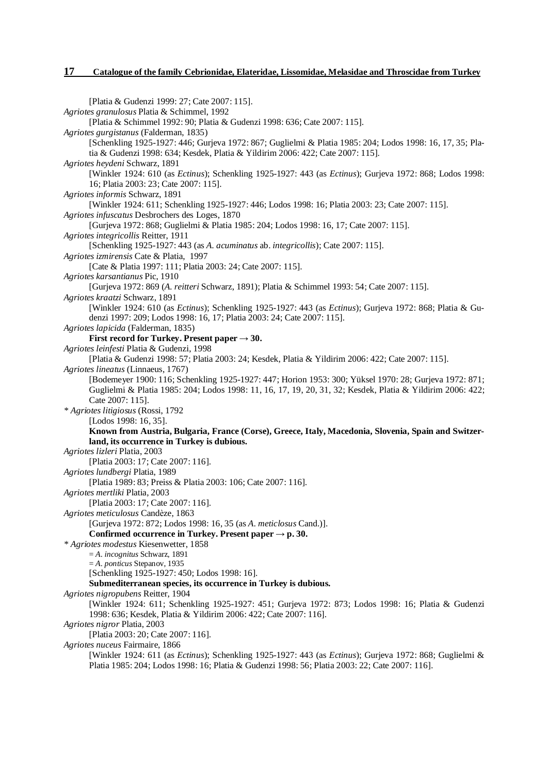[Platia & Gudenzi 1999: 27; Cate 2007: 115]. *Agriotes granulosus* Platia & Schimmel, 1992 [Platia & Schimmel 1992: 90; Platia & Gudenzi 1998: 636; Cate 2007: 115]. *Agriotes gurgistanus* (Falderman, 1835) [Schenkling 1925-1927: 446; Gurjeva 1972: 867; Guglielmi & Platia 1985: 204; Lodos 1998: 16, 17, 35; Platia & Gudenzi 1998: 634; Kesdek, Platia & Yildirim 2006: 422; Cate 2007: 115]. *Agriotes heydeni* Schwarz, 1891 [Winkler 1924: 610 (as *Ectinus*); Schenkling 1925-1927: 443 (as *Ectinus*); Gurjeva 1972: 868; Lodos 1998: 16; Platia 2003: 23; Cate 2007: 115]. *Agriotes informis* Schwarz, 1891 [Winkler 1924: 611; Schenkling 1925-1927: 446; Lodos 1998: 16; Platia 2003: 23; Cate 2007: 115]. *Agriotes infuscatus* Desbrochers des Loges, 1870 [Gurjeva 1972: 868; Guglielmi & Platia 1985: 204; Lodos 1998: 16, 17; Cate 2007: 115]. *Agriotes integricollis* Reitter, 1911 [Schenkling 1925-1927: 443 (as *A. acuminatus* ab. *integricollis*); Cate 2007: 115]. *Agriotes izmirensis* Cate & Platia, 1997 [Cate & Platia 1997: 111; Platia 2003: 24; Cate 2007: 115]. *Agriotes karsantianus* Pic, 1910 [Gurjeva 1972: 869 (*A. reitteri* Schwarz, 1891); Platia & Schimmel 1993: 54; Cate 2007: 115]. *Agriotes kraatzi* Schwarz, 1891 [Winkler 1924: 610 (as *Ectinus*); Schenkling 1925-1927: 443 (as *Ectinus*); Gurjeva 1972: 868; Platia & Gudenzi 1997: 209; Lodos 1998: 16, 17; Platia 2003: 24; Cate 2007: 115]. *Agriotes lapicida* (Falderman, 1835) **First record for Turkey. Present paper**  $\rightarrow$  **30.** *Agriotes leinfesti* Platia & Gudenzi, 1998 [Platia & Gudenzi 1998: 57; Platia 2003: 24; Kesdek, Platia & Yildirim 2006: 422; Cate 2007: 115]. *Agriotes lineatus* (Linnaeus, 1767) [Bodemeyer 1900: 116; Schenkling 1925-1927: 447; Horion 1953: 300; Yüksel 1970: 28; Gurjeva 1972: 871; Guglielmi & Platia 1985: 204; Lodos 1998: 11, 16, 17, 19, 20, 31, 32; Kesdek, Platia & Yildirim 2006: 422; Cate 2007: 115]. *\* Agriotes litigiosus* (Rossi, 1792 [Lodos 1998: 16, 35]. **Known from Austria, Bulgaria, France (Corse), Greece, Italy, Macedonia, Slovenia, Spain and Switzerland, its occurrence in Turkey is dubious.**  *Agriotes lizleri* Platia, 2003 [Platia 2003: 17; Cate 2007: 116]. *Agriotes lundbergi* Platia, 1989 [Platia 1989: 83; Preiss & Platia 2003: 106; Cate 2007: 116]. *Agriotes mertliki* Platia, 2003 [Platia 2003: 17; Cate 2007: 116]. *Agriotes meticulosus* Candèze, 1863 [Gurjeva 1972: 872; Lodos 1998: 16, 35 (as *A. meticlosus* Cand.)]. **Confirmed occurrence** in **Turkey. Present**  $\text{paper} \rightarrow \text{p}$ . **30.** *\* Agriotes modestus* Kiesenwetter, 1858 = *A. incognitus* Schwarz, 1891 = *A. ponticus* Stepanov, 1935 [Schenkling 1925-1927: 450; Lodos 1998: 16]. **Submediterranean species, its occurrence in Turkey is dubious.**  *Agriotes nigropubens* Reitter, 1904 [Winkler 1924: 611; Schenkling 1925-1927: 451; Gurjeva 1972: 873; Lodos 1998: 16; Platia & Gudenzi 1998: 636; Kesdek, Platia & Yildirim 2006: 422; Cate 2007: 116]. *Agriotes nigror* Platia, 2003 [Platia 2003: 20; Cate 2007: 116]. *Agriotes nuceus* Fairmaire, 1866 [Winkler 1924: 611 (as *Ectinus*); Schenkling 1925-1927: 443 (as *Ectinus*); Gurjeva 1972: 868; Guglielmi & Platia 1985: 204; Lodos 1998: 16; Platia & Gudenzi 1998: 56; Platia 2003: 22; Cate 2007: 116].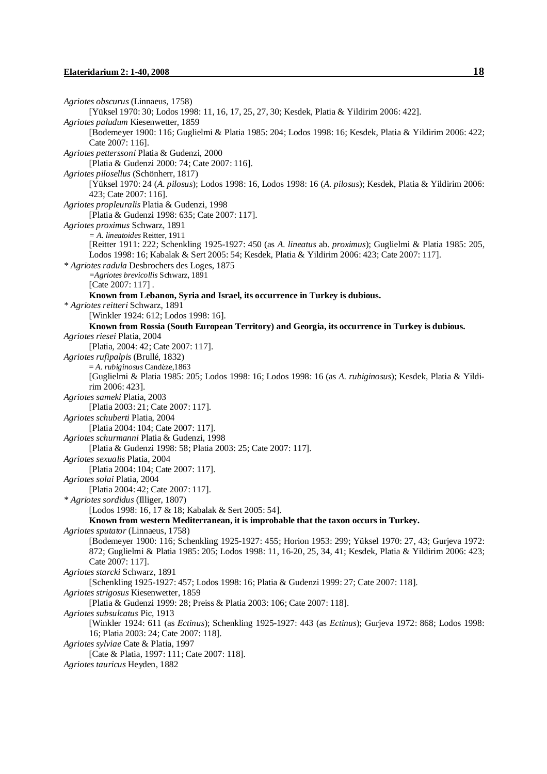```
Agriotes obscurus (Linnaeus, 1758) 
       [Yüksel 1970: 30; Lodos 1998: 11, 16, 17, 25, 27, 30; Kesdek, Platia & Yildirim 2006: 422]. 
Agriotes paludum Kiesenwetter, 1859 
       [Bodemeyer 1900: 116; Guglielmi & Platia 1985: 204; Lodos 1998: 16; Kesdek, Platia & Yildirim 2006: 422; 
       Cate 2007: 116]. 
Agriotes petterssoni Platia & Gudenzi, 2000 
       [Platia & Gudenzi 2000: 74; Cate 2007: 116]. 
Agriotes pilosellus (Schönherr, 1817) 
       [Yüksel 1970: 24 (A. pilosus); Lodos 1998: 16, Lodos 1998: 16 (A. pilosus); Kesdek, Platia & Yildirim 2006: 
       423; Cate 2007: 116]. 
Agriotes propleuralis Platia & Gudenzi, 1998 
       [Platia & Gudenzi 1998: 635; Cate 2007: 117]. 
Agriotes proximus Schwarz, 1891 
       = A. lineatoides Reitter, 1911 
       [Reitter 1911: 222; Schenkling 1925-1927: 450 (as A. lineatus ab. proximus); Guglielmi & Platia 1985: 205, 
       Lodos 1998: 16; Kabalak & Sert 2005: 54; Kesdek, Platia & Yildirim 2006: 423; Cate 2007: 117]. 
* Agriotes radula Desbrochers des Loges, 1875 
       =Agriotes brevicollis Schwarz, 1891 
       [Cate 2007: 117].
       Known from Lebanon, Syria and Israel, its occurrence in Turkey is dubious. 
* Agriotes reitteri Schwarz, 1891 
       [Winkler 1924: 612; Lodos 1998: 16]. 
       Known from Rossia (South European Territory) and Georgia, its occurrence in Turkey is dubious. 
Agriotes riesei Platia, 2004 
       [Platia, 2004: 42; Cate 2007: 117]. 
Agriotes rufipalpis (Brullé, 1832) 
       = A. rubiginosus Candèze,1863 
       [Guglielmi & Platia 1985: 205; Lodos 1998: 16; Lodos 1998: 16 (as A. rubiginosus); Kesdek, Platia & Yildi-
       rim 2006: 423]. 
Agriotes sameki Platia, 2003 
       [Platia 2003: 21; Cate 2007: 117]. 
Agriotes schuberti Platia, 2004 
       [Platia 2004: 104; Cate 2007: 117]. 
Agriotes schurmanni Platia & Gudenzi, 1998 
       [Platia & Gudenzi 1998: 58; Platia 2003: 25; Cate 2007: 117]. 
Agriotes sexualis Platia, 2004 
       [Platia 2004: 104; Cate 2007: 117]. 
Agriotes solai Platia, 2004 
       [Platia 2004: 42; Cate 2007: 117]. 
* Agriotes sordidus (Illiger, 1807) 
       [Lodos 1998: 16, 17 & 18; Kabalak & Sert 2005: 54]. 
       Known from western Mediterranean, it is improbable that the taxon occurs in Turkey. 
Agriotes sputator (Linnaeus, 1758) 
       [Bodemeyer 1900: 116; Schenkling 1925-1927: 455; Horion 1953: 299; Yüksel 1970: 27, 43; Gurjeva 1972: 
       872; Guglielmi & Platia 1985: 205; Lodos 1998: 11, 16-20, 25, 34, 41; Kesdek, Platia & Yildirim 2006: 423; 
       Cate 2007: 117]. 
Agriotes starcki Schwarz, 1891 
       [Schenkling 1925-1927: 457; Lodos 1998: 16; Platia & Gudenzi 1999: 27; Cate 2007: 118]. 
Agriotes strigosus Kiesenwetter, 1859 
       [Platia & Gudenzi 1999: 28; Preiss & Platia 2003: 106; Cate 2007: 118]. 
Agriotes subsulcatus Pic, 1913 
       [Winkler 1924: 611 (as Ectinus); Schenkling 1925-1927: 443 (as Ectinus); Gurjeva 1972: 868; Lodos 1998: 
       16; Platia 2003: 24; Cate 2007: 118]. 
Agriotes sylviae Cate & Platia, 1997 
       [Cate & Platia, 1997: 111; Cate 2007: 118]. 
Agriotes tauricus Heyden, 1882
```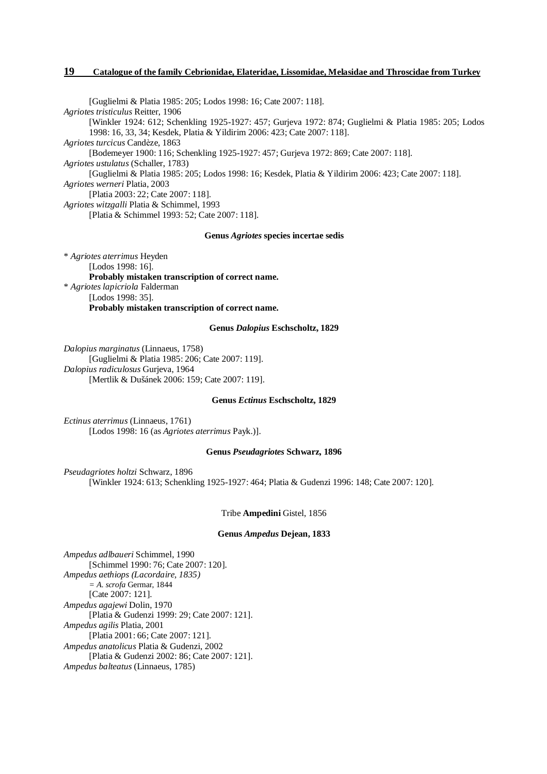[Guglielmi & Platia 1985: 205; Lodos 1998: 16; Cate 2007: 118]. *Agriotes tristiculus* Reitter, 1906 [Winkler 1924: 612; Schenkling 1925-1927: 457; Gurjeva 1972: 874; Guglielmi & Platia 1985: 205; Lodos 1998: 16, 33, 34; Kesdek, Platia & Yildirim 2006: 423; Cate 2007: 118]. *Agriotes turcicus* Candèze, 1863 [Bodemeyer 1900: 116; Schenkling 1925-1927: 457; Gurjeva 1972: 869; Cate 2007: 118]. *Agriotes ustulatus* (Schaller, 1783) [Guglielmi & Platia 1985: 205; Lodos 1998: 16; Kesdek, Platia & Yildirim 2006: 423; Cate 2007: 118]. *Agriotes werneri* Platia, 2003 [Platia 2003: 22; Cate 2007: 118]. *Agriotes witzgalli* Platia & Schimmel, 1993 [Platia & Schimmel 1993: 52; Cate 2007: 118]. **Genus** *Agriotes* **species incertae sedis** 

\* *Agriotes aterrimus* Heyden [Lodos 1998: 16]. **Probably mistaken transcription of correct name.** \* *Agriotes lapicriola* Falderman [Lodos 1998: 35]. **Probably mistaken transcription of correct name.** 

### **Genus** *Dalopius* **Eschscholtz, 1829**

*Dalopius marginatus* (Linnaeus, 1758) [Guglielmi & Platia 1985: 206; Cate 2007: 119]. *Dalopius radiculosus* Gurjeva, 1964 [Mertlik & Dušánek 2006: 159; Cate 2007: 119].

#### **Genus** *Ectinus* **Eschscholtz, 1829**

*Ectinus aterrimus* (Linnaeus, 1761) [Lodos 1998: 16 (as *Agriotes aterrimus* Payk.)].

#### **Genus** *Pseudagriotes* **Schwarz, 1896**

*Pseudagriotes holtzi* Schwarz, 1896 [Winkler 1924: 613; Schenkling 1925-1927: 464; Platia & Gudenzi 1996: 148; Cate 2007: 120].

#### Tribe **Ampedini** Gistel, 1856

#### **Genus** *Ampedus* **Dejean, 1833**

*Ampedus adlbaueri* Schimmel, 1990 [Schimmel 1990: 76; Cate 2007: 120]. *Ampedus aethiops (Lacordaire, 1835) = A. scrofa* Germar, 1844 [Cate 2007: 121]. *Ampedus agajewi* Dolin, 1970 [Platia & Gudenzi 1999: 29; Cate 2007: 121]. *Ampedus agilis* Platia, 2001 [Platia 2001: 66; Cate 2007: 121]. *Ampedus anatolicus* Platia & Gudenzi, 2002 [Platia & Gudenzi 2002: 86; Cate 2007: 121]. *Ampedus balteatus* (Linnaeus, 1785)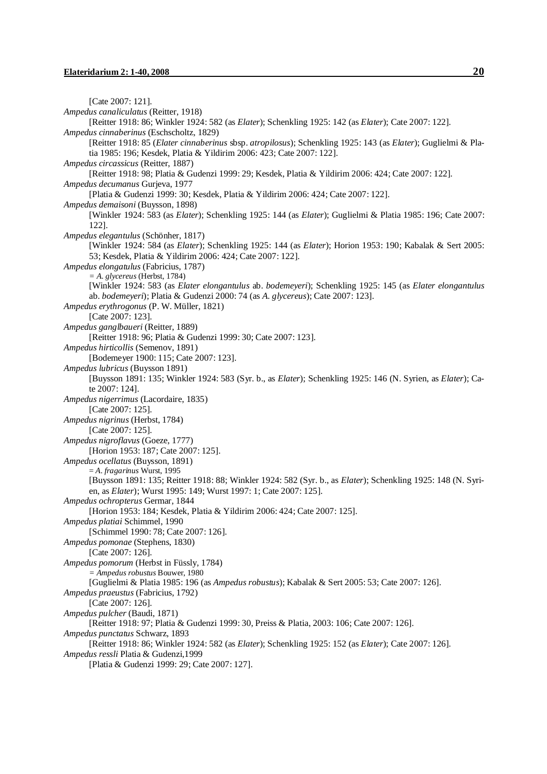[Cate 2007: 121]. *Ampedus canaliculatus* (Reitter, 1918) [Reitter 1918: 86; Winkler 1924: 582 (as *Elater*); Schenkling 1925: 142 (as *Elater*); Cate 2007: 122]. *Ampedus cinnaberinus* (Eschscholtz, 1829) [Reitter 1918: 85 (*Elater cinnaberinus* sbsp. *atropilosus*); Schenkling 1925: 143 (as *Elater*); Guglielmi & Platia 1985: 196; Kesdek, Platia & Yildirim 2006: 423; Cate 2007: 122]. *Ampedus circassicus* (Reitter, 1887) [Reitter 1918: 98; Platia & Gudenzi 1999: 29; Kesdek, Platia & Yildirim 2006: 424; Cate 2007: 122]. *Ampedus decumanus* Gurjeva, 1977 [Platia & Gudenzi 1999: 30; Kesdek, Platia & Yildirim 2006: 424; Cate 2007: 122]. *Ampedus demaisoni* (Buysson, 1898) [Winkler 1924: 583 (as *Elater*); Schenkling 1925: 144 (as *Elater*); Guglielmi & Platia 1985: 196; Cate 2007: 122]. *Ampedus elegantulus* (Schönher, 1817) [Winkler 1924: 584 (as *Elater*); Schenkling 1925: 144 (as *Elater*); Horion 1953: 190; Kabalak & Sert 2005: 53; Kesdek, Platia & Yildirim 2006: 424; Cate 2007: 122]. *Ampedus elongatulus* (Fabricius, 1787) *= A. glycereus* (Herbst, 1784) [Winkler 1924: 583 (as *Elater elongantulus* ab. *bodemeyeri*); Schenkling 1925: 145 (as *Elater elongantulus*  ab. *bodemeyeri*); Platia & Gudenzi 2000: 74 (as *A. glycereus*); Cate 2007: 123]. *Ampedus erythrogonus* (P. W. Müller, 1821) [Cate 2007: 123]. *Ampedus ganglbaueri* (Reitter, 1889) [Reitter 1918: 96; Platia & Gudenzi 1999: 30; Cate 2007: 123]. *Ampedus hirticollis* (Semenov, 1891) [Bodemeyer 1900: 115; Cate 2007: 123]. *Ampedus lubricus* (Buysson 1891) [Buysson 1891: 135; Winkler 1924: 583 (Syr. b., as *Elater*); Schenkling 1925: 146 (N. Syrien, as *Elater*); Cate 2007: 124]. *Ampedus nigerrimus* (Lacordaire, 1835) [Cate 2007: 125]. *Ampedus nigrinus* (Herbst, 1784) [Cate 2007: 125]. *Ampedus nigroflavus* (Goeze, 1777) [Horion 1953: 187; Cate 2007: 125]. *Ampedus ocellatus* (Buysson, 1891) = *A. fragarinus* Wurst, 1995 [Buysson 1891: 135; Reitter 1918: 88; Winkler 1924: 582 (Syr. b., as *Elater*); Schenkling 1925: 148 (N. Syrien, as *Elater*); Wurst 1995: 149; Wurst 1997: 1; Cate 2007: 125]. *Ampedus ochropterus* Germar, 1844 [Horion 1953: 184; Kesdek, Platia & Yildirim 2006: 424; Cate 2007: 125]. *Ampedus platiai* Schimmel, 1990 [Schimmel 1990: 78; Cate 2007: 126]. *Ampedus pomonae* (Stephens, 1830) [Cate 2007: 126]. *Ampedus pomorum* (Herbst in Füssly, 1784) *= Ampedus robustus* Bouwer, 1980 [Guglielmi & Platia 1985: 196 (as *Ampedus robustus*); Kabalak & Sert 2005: 53; Cate 2007: 126]. *Ampedus praeustus* (Fabricius, 1792) [Cate 2007: 126]. *Ampedus pulcher* (Baudi, 1871) [Reitter 1918: 97; Platia & Gudenzi 1999: 30, Preiss & Platia, 2003: 106; Cate 2007: 126]. *Ampedus punctatus* Schwarz, 1893 [Reitter 1918: 86; Winkler 1924: 582 (as *Elater*); Schenkling 1925: 152 (as *Elater*); Cate 2007: 126]. *Ampedus ressli* Platia & Gudenzi,1999 [Platia & Gudenzi 1999: 29; Cate 2007: 127].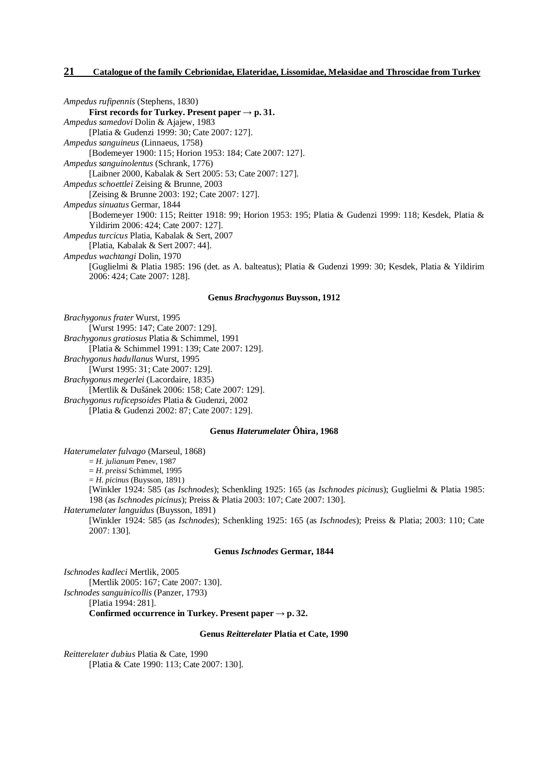*Ampedus rufipennis* (Stephens, 1830) **First records for Turkey. Present paper**  $\rightarrow$  **p. 31.** *Ampedus samedovi* Dolin & Ajajew, 1983 [Platia & Gudenzi 1999: 30; Cate 2007: 127]. *Ampedus sanguineus* (Linnaeus, 1758) [Bodemeyer 1900: 115; Horion 1953: 184; Cate 2007: 127]. *Ampedus sanguinolentus* (Schrank, 1776) [Laibner 2000, Kabalak & Sert 2005: 53; Cate 2007: 127]. *Ampedus schoettlei* Zeising & Brunne, 2003 [Zeising & Brunne 2003: 192; Cate 2007: 127]. *Ampedus sinuatus* Germar, 1844 [Bodemeyer 1900: 115; Reitter 1918: 99; Horion 1953: 195; Platia & Gudenzi 1999: 118; Kesdek, Platia & Yildirim 2006: 424; Cate 2007: 127]. *Ampedus turcicus* Platia, Kabalak & Sert, 2007 [Platia, Kabalak & Sert 2007: 44]. *Ampedus wachtangi* Dolin, 1970 [Guglielmi & Platia 1985: 196 (det. as A. balteatus); Platia & Gudenzi 1999: 30; Kesdek, Platia & Yildirim 2006: 424; Cate 2007: 128].

## **Genus** *Brachygonus* **Buysson, 1912**

*Brachygonus frater* Wurst, 1995 [Wurst 1995: 147; Cate 2007: 129]. *Brachygonus gratiosus* Platia & Schimmel, 1991 [Platia & Schimmel 1991: 139; Cate 2007: 129]. *Brachygonus hadullanus* Wurst, 1995 [Wurst 1995: 31; Cate 2007: 129]. *Brachygonus megerlei* (Lacordaire, 1835) [Mertlik & Dušánek 2006: 158; Cate 2007: 129]. *Brachygonus ruficepsoides* Platia & Gudenzi, 2002

[Platia & Gudenzi 2002: 87; Cate 2007: 129].

## **Genus** *Haterumelater* **Ôhira, 1968**

*Haterumelater fulvago* (Marseul, 1868)

= *H. julianum* Penev, 1987

= *H. preissi* Schimmel, 1995

= *H. picinus* (Buysson, 1891)

[Winkler 1924: 585 (as *Ischnodes*); Schenkling 1925: 165 (as *Ischnodes picinus*); Guglielmi & Platia 1985: 198 (as *Ischnodes picinus*); Preiss & Platia 2003: 107; Cate 2007: 130].

*Haterumelater languidus* (Buysson, 1891)

[Winkler 1924: 585 (as *Ischnodes*); Schenkling 1925: 165 (as *Ischnodes*); Preiss & Platia; 2003: 110; Cate 2007: 130].

#### **Genus** *Ischnodes* **Germar, 1844**

*Ischnodes kadleci* Mertlik, 2005 [Mertlik 2005: 167; Cate 2007: 130]. *Ischnodes sanguinicollis* (Panzer, 1793) [Platia 1994: 281]. **Confirmed occurrence** in **Turkey. Present**  $\text{paper} \rightarrow \text{p. 32.}$ 

#### **Genus** *Reitterelater* **Platia et Cate, 1990**

*Reitterelater dubius* Platia & Cate, 1990 [Platia & Cate 1990: 113; Cate 2007: 130].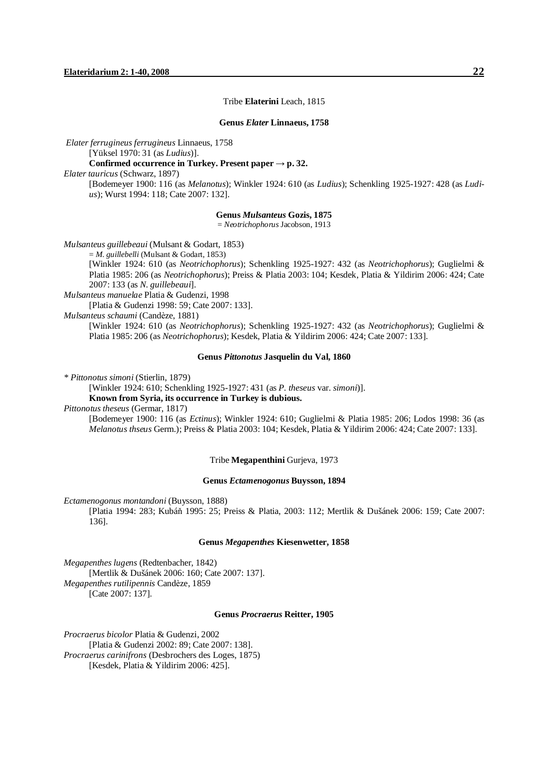#### Tribe **Elaterini** Leach, 1815

#### **Genus** *Elater* **Linnaeus, 1758**

*Elater ferrugineus ferrugineus* Linnaeus, 1758

[Yüksel 1970: 31 (as *Ludius*)].

## **Confirmed occurrence in Turkey. Present paper → p. 32.**

*Elater tauricus* (Schwarz, 1897)

[Bodemeyer 1900: 116 (as *Melanotus*); Winkler 1924: 610 (as *Ludius*); Schenkling 1925-1927: 428 (as *Ludius*); Wurst 1994: 118; Cate 2007: 132].

#### **Genus** *Mulsanteus* **Gozis, 1875**

= *Neotrichophorus* Jacobson, 1913

*Mulsanteus guillebeaui* (Mulsant & Godart, 1853)

= *M. guillebelli* (Mulsant & Godart, 1853)

[Winkler 1924: 610 (as *Neotrichophorus*); Schenkling 1925-1927: 432 (as *Neotrichophorus*); Guglielmi & Platia 1985: 206 (as *Neotrichophorus*); Preiss & Platia 2003: 104; Kesdek, Platia & Yildirim 2006: 424; Cate 2007: 133 (as *N. guillebeaui*].

*Mulsanteus manuelae* Platia & Gudenzi, 1998

[Platia & Gudenzi 1998: 59; Cate 2007: 133].

*Mulsanteus schaumi* (Candèze, 1881)

[Winkler 1924: 610 (as *Neotrichophorus*); Schenkling 1925-1927: 432 (as *Neotrichophorus*); Guglielmi & Platia 1985: 206 (as *Neotrichophorus*); Kesdek, Platia & Yildirim 2006: 424; Cate 2007: 133].

#### **Genus** *Pittonotus* **Jasquelin du Val, 1860**

*\* Pittonotus simoni* (Stierlin, 1879)

[Winkler 1924: 610; Schenkling 1925-1927: 431 (as *P. theseus* var. *simoni*)].

**Known from Syria, its occurrence in Turkey is dubious.** 

*Pittonotus theseus* (Germar, 1817)

[Bodemeyer 1900: 116 (as *Ectinus*); Winkler 1924: 610; Guglielmi & Platia 1985: 206; Lodos 1998: 36 (as *Melanotus thseus* Germ.); Preiss & Platia 2003: 104; Kesdek, Platia & Yildirim 2006: 424; Cate 2007: 133].

Tribe **Megapenthini** Gurjeva, 1973

#### **Genus** *Ectamenogonus* **Buysson, 1894**

*Ectamenogonus montandoni* (Buysson, 1888)

[Platia 1994: 283; Kubáň 1995: 25; Preiss & Platia, 2003: 112; Mertlik & Dušánek 2006: 159; Cate 2007: 136].

#### **Genus** *Megapenthes* **Kiesenwetter, 1858**

*Megapenthes lugens* (Redtenbacher, 1842) [Mertlik & Dušánek 2006: 160; Cate 2007: 137]. *Megapenthes rutilipennis* Candèze, 1859 [Cate 2007: 137].

#### **Genus** *Procraerus* **Reitter, 1905**

*Procraerus bicolor* Platia & Gudenzi, 2002 [Platia & Gudenzi 2002: 89; Cate 2007: 138].

*Procraerus carinifrons* (Desbrochers des Loges, 1875)

[Kesdek, Platia & Yildirim 2006: 425].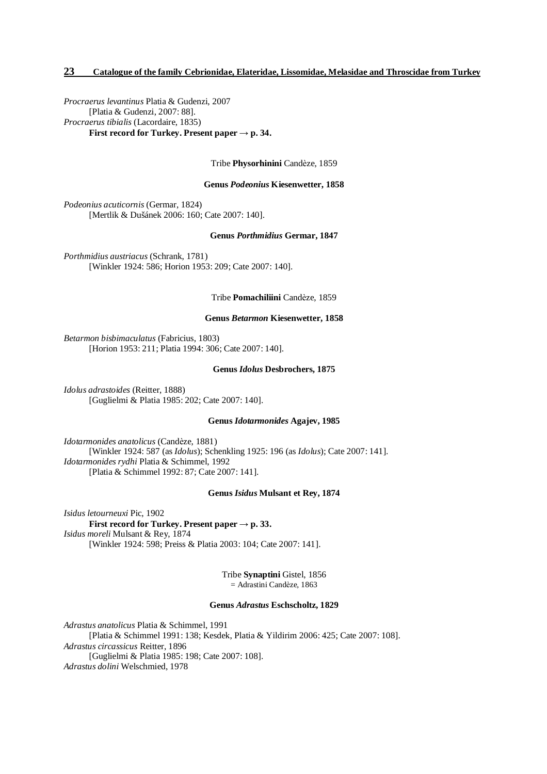*Procraerus levantinus* Platia & Gudenzi, 2007 [Platia & Gudenzi, 2007: 88]. *Procraerus tibialis* (Lacordaire, 1835) **First record for Turkey. Present paper**  $\rightarrow$  **p. 34.** 

Tribe **Physorhinini** Candèze, 1859

#### **Genus** *Podeonius* **Kiesenwetter, 1858**

*Podeonius acuticornis* (Germar, 1824) [Mertlik & Dušánek 2006: 160; Cate 2007: 140].

**Genus** *Porthmidius* **Germar, 1847**

*Porthmidius austriacus* (Schrank, 1781) [Winkler 1924: 586; Horion 1953: 209; Cate 2007: 140].

#### Tribe **Pomachiliini** Candèze, 1859

#### **Genus** *Betarmon* **Kiesenwetter, 1858**

*Betarmon bisbimaculatus* (Fabricius, 1803) [Horion 1953: 211; Platia 1994: 306; Cate 2007: 140].

#### **Genus** *Idolus* **Desbrochers, 1875**

*Idolus adrastoides* (Reitter, 1888) [Guglielmi & Platia 1985: 202; Cate 2007: 140].

#### **Genus** *Idotarmonides* **Agajev, 1985**

*Idotarmonides anatolicus* (Candèze, 1881) [Winkler 1924: 587 (as *Idolus*); Schenkling 1925: 196 (as *Idolus*); Cate 2007: 141]. *Idotarmonides rydhi* Platia & Schimmel, 1992 [Platia & Schimmel 1992: 87; Cate 2007: 141].

#### **Genus** *Isidus* **Mulsant et Rey, 1874**

*Isidus letourneuxi* Pic, 1902 **First record for Turkey. Present paper**  $\rightarrow$  **p. 33.** *Isidus moreli* Mulsant & Rey, 1874 [Winkler 1924: 598; Preiss & Platia 2003: 104; Cate 2007: 141].

> Tribe **Synaptini** Gistel, 1856 = Adrastini Candèze, 1863

#### **Genus** *Adrastus* **Eschscholtz, 1829**

*Adrastus anatolicus* Platia & Schimmel, 1991 [Platia & Schimmel 1991: 138; Kesdek, Platia & Yildirim 2006: 425; Cate 2007: 108]. *Adrastus circassicus* Reitter, 1896 [Guglielmi & Platia 1985: 198; Cate 2007: 108]. *Adrastus dolini* Welschmied, 1978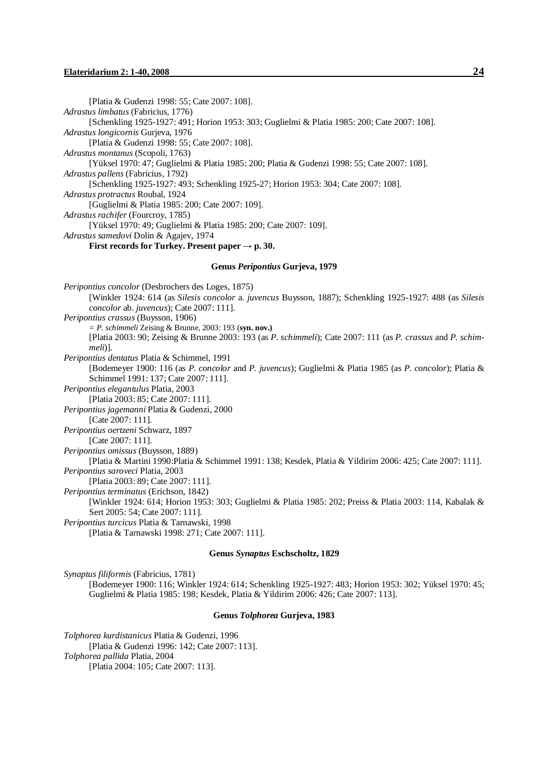#### **Elateridarium 2: 1-40, 2008 24**

[Platia & Gudenzi 1998: 55; Cate 2007: 108]. *Adrastus limbatus* (Fabricius, 1776) [Schenkling 1925-1927: 491; Horion 1953: 303; Guglielmi & Platia 1985: 200; Cate 2007: 108]. *Adrastus longicornis* Gurjeva, 1976 [Platia & Gudenzi 1998: 55; Cate 2007: 108]. *Adrastus montanus* (Scopoli, 1763) [Yüksel 1970: 47; Guglielmi & Platia 1985: 200; Platia & Gudenzi 1998: 55; Cate 2007: 108]. *Adrastus pallens* (Fabricius, 1792) [Schenkling 1925-1927: 493; Schenkling 1925-27; Horion 1953: 304; Cate 2007: 108]. *Adrastus protractus* Roubal, 1924 [Guglielmi & Platia 1985: 200; Cate 2007: 109]. *Adrastus rachifer* (Fourcroy, 1785) [Yüksel 1970: 49; Guglielmi & Platia 1985: 200; Cate 2007: 109]. *Adrastus samedovi* Dolin & Agajev, 1974 **First records for Turkey. Present paper**  $\rightarrow$  **p. 30. Genus** *Peripontius* **Gurjeva, 1979**  *Peripontius concolor* (Desbrochers des Loges, 1875) [Winkler 1924: 614 (as *Silesis concolor* a. *juvencus* Buysson, 1887); Schenkling 1925-1927: 488 (as *Silesis concolor* ab. *juvencus*); Cate 2007: 111]. *Peripontius crassus* (Buysson, 1906) *= P. schimmeli* Zeising & Brunne, 2003: 193 (**syn. nov.)** [Platia 2003: 90; Zeising & Brunne 2003: 193 (as *P. schimmeli*); Cate 2007: 111 (as *P. crassus* and *P. schimmeli*)]. *Peripontius dentatus* Platia & Schimmel, 1991 [Bodemeyer 1900: 116 (as *P. concolor* and *P. juvencus*); Guglielmi & Platia 1985 (as *P. concolor*); Platia & Schimmel 1991: 137; Cate 2007: 111]. *Peripontius elegantulus* Platia, 2003 [Platia 2003: 85; Cate 2007: 111]. *Peripontius jagemanni* Platia & Gudenzi, 2000 [Cate 2007: 111]. *Peripontius oertzeni* Schwarz, 1897 [Cate 2007: 111]. *Peripontius omissus* (Buysson, 1889) [Platia & Martini 1990:Platia & Schimmel 1991: 138; Kesdek, Platia & Yildirim 2006: 425; Cate 2007: 111]. *Peripontius saroveci* Platia, 2003 [Platia 2003: 89; Cate 2007: 111]. *Peripontius terminatus* (Erichson, 1842) [Winkler 1924: 614; Horion 1953: 303; Guglielmi & Platia 1985: 202; Preiss & Platia 2003: 114, Kabalak & Sert 2005: 54; Cate 2007: 111]. *Peripontius turcicus* Platia & Tarnawski, 1998 [Platia & Tarnawski 1998: 271; Cate 2007: 111].

#### **Genus** *Synaptus* **Eschscholtz, 1829**

*Synaptus filiformis* (Fabricius, 1781) [Bodemeyer 1900: 116; Winkler 1924: 614; Schenkling 1925-1927: 483; Horion 1953: 302; Yüksel 1970: 45; Guglielmi & Platia 1985: 198; Kesdek, Platia & Yildirim 2006: 426; Cate 2007: 113].

#### **Genus** *Tolphorea* **Gurjeva, 1983**

*Tolphorea kurdistanicus* Platia & Gudenzi, 1996 [Platia & Gudenzi 1996: 142; Cate 2007: 113]. *Tolphorea pallida* Platia, 2004 [Platia 2004: 105; Cate 2007: 113].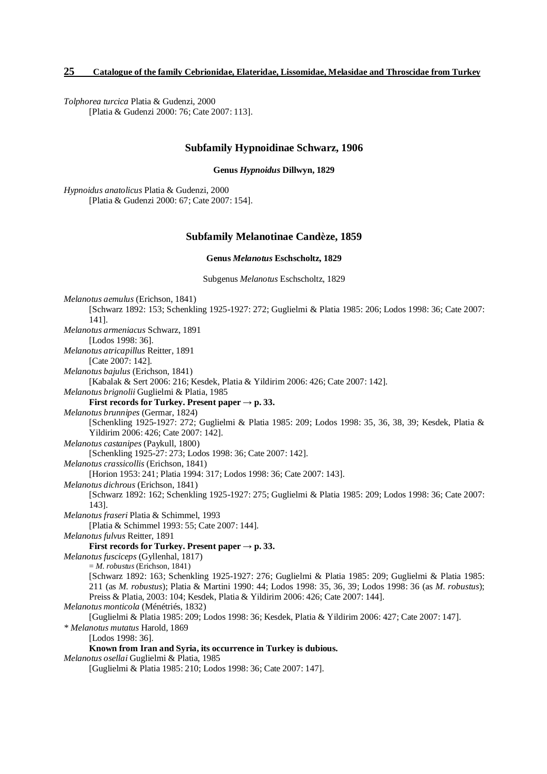*Tolphorea turcica* Platia & Gudenzi, 2000 [Platia & Gudenzi 2000: 76; Cate 2007: 113].

## **Subfamily Hypnoidinae Schwarz, 1906**

**Genus** *Hypnoidus* **Dillwyn, 1829** 

*Hypnoidus anatolicus* Platia & Gudenzi, 2000 [Platia & Gudenzi 2000: 67; Cate 2007: 154].

## **Subfamily Melanotinae Candèze, 1859**

**Genus** *Melanotus* **Eschscholtz, 1829** 

Subgenus *Melanotus* Eschscholtz, 1829

*Melanotus aemulus* (Erichson, 1841) [Schwarz 1892: 153; Schenkling 1925-1927: 272; Guglielmi & Platia 1985: 206; Lodos 1998: 36; Cate 2007: 141]. *Melanotus armeniacus* Schwarz, 1891 [Lodos 1998: 36]. *Melanotus atricapillus* Reitter, 1891 [Cate 2007: 142]. *Melanotus bajulus* (Erichson, 1841) [Kabalak & Sert 2006: 216; Kesdek, Platia & Yildirim 2006: 426; Cate 2007: 142]. *Melanotus brignolii* Guglielmi & Platia, 1985 **First records for Turkey. Present paper**  $\rightarrow$  **p. 33.** *Melanotus brunnipes* (Germar, 1824) [Schenkling 1925-1927: 272; Guglielmi & Platia 1985: 209; Lodos 1998: 35, 36, 38, 39; Kesdek, Platia & Yildirim 2006: 426; Cate 2007: 142]. *Melanotus castanipes* (Paykull, 1800) [Schenkling 1925-27: 273; Lodos 1998: 36; Cate 2007: 142]. *Melanotus crassicollis* (Erichson, 1841) [Horion 1953: 241; Platia 1994: 317; Lodos 1998: 36; Cate 2007: 143]. *Melanotus dichrous* (Erichson, 1841) [Schwarz 1892: 162; Schenkling 1925-1927: 275; Guglielmi & Platia 1985: 209; Lodos 1998: 36; Cate 2007: 143]. *Melanotus fraseri* Platia & Schimmel, 1993 [Platia & Schimmel 1993: 55; Cate 2007: 144]. *Melanotus fulvus* Reitter, 1891 **First records for Turkey. Present paper**  $\rightarrow$  **p. 33.** *Melanotus fusciceps* (Gyllenhal, 1817) = *M. robustus* (Erichson, 1841) [Schwarz 1892: 163; Schenkling 1925-1927: 276; Guglielmi & Platia 1985: 209; Guglielmi & Platia 1985: 211 (as *M. robustus*); Platia & Martini 1990: 44; Lodos 1998: 35, 36, 39; Lodos 1998: 36 (as *M. robustus*); Preiss & Platia, 2003: 104; Kesdek, Platia & Yildirim 2006: 426; Cate 2007: 144]. *Melanotus monticola* (Ménétriés, 1832) [Guglielmi & Platia 1985: 209; Lodos 1998: 36; Kesdek, Platia & Yildirim 2006: 427; Cate 2007: 147]. *\* Melanotus mutatus* Harold, 1869 [Lodos 1998: 36]. **Known from Iran and Syria, its occurrence in Turkey is dubious.**  *Melanotus osellai* Guglielmi & Platia, 1985 [Guglielmi & Platia 1985: 210; Lodos 1998: 36; Cate 2007: 147].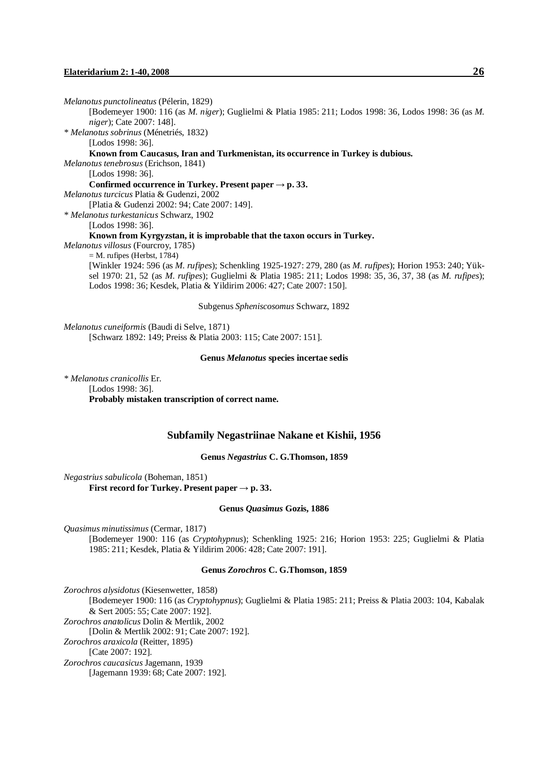#### **Elateridarium 2: 1-40, 2008 26**

*Melanotus punctolineatus* (Pélerin, 1829) [Bodemeyer 1900: 116 (as *M. niger*); Guglielmi & Platia 1985: 211; Lodos 1998: 36, Lodos 1998: 36 (as *M. niger*); Cate 2007: 148]. *\* Melanotus sobrinus* (Ménetriés, 1832) [Lodos 1998: 36]. **Known from Caucasus, Iran and Turkmenistan, its occurrence in Turkey is dubious.**  *Melanotus tenebrosus* (Erichson, 1841) [Lodos 1998: 36]. **Confirmed occurrence** in **Turkey. Present**  $\text{paper} \rightarrow \text{p.} 33$ . *Melanotus turcicus* Platia & Gudenzi, 2002 [Platia & Gudenzi 2002: 94; Cate 2007: 149]. *\* Melanotus turkestanicus* Schwarz, 1902 [Lodos 1998: 36]. **Known from Kyrgyzstan, it is improbable that the taxon occurs in Turkey.**  *Melanotus villosus* (Fourcroy, 1785)  $=$  M. rufipes (Herbst, 1784) [Winkler 1924: 596 (as *M. rufipes*); Schenkling 1925-1927: 279, 280 (as *M. rufipes*); Horion 1953: 240; Yüksel 1970: 21, 52 (as *M. rufipes*); Guglielmi & Platia 1985: 211; Lodos 1998: 35, 36, 37, 38 (as *M. rufipes*); Lodos 1998: 36; Kesdek, Platia & Yildirim 2006: 427; Cate 2007: 150]. Subgenus *Spheniscosomus* Schwarz, 1892 *Melanotus cuneiformis* (Baudi di Selve, 1871) [Schwarz 1892: 149; Preiss & Platia 2003: 115; Cate 2007: 151]. **Genus** *Melanotus* **species incertae sedis** 

*\* Melanotus cranicollis* Er. [Lodos 1998: 36]. **Probably mistaken transcription of correct name.** 

## **Subfamily Negastriinae Nakane et Kishii, 1956**

**Genus** *Negastrius* **C. G.Thomson, 1859**

*Negastrius sabulicola* (Boheman, 1851) **First record for Turkey. Present paper**  $\rightarrow$  **p. 33.** 

#### **Genus** *Quasimus* **Gozis, 1886**

*Quasimus minutissimus* (Cermar, 1817)

[Bodemeyer 1900: 116 (as *Cryptohypnus*); Schenkling 1925: 216; Horion 1953: 225; Guglielmi & Platia 1985: 211; Kesdek, Platia & Yildirim 2006: 428; Cate 2007: 191].

#### **Genus** *Zorochros* **C. G.Thomson, 1859**

*Zorochros alysidotus* (Kiesenwetter, 1858) [Bodemeyer 1900: 116 (as *Cryptohypnus*); Guglielmi & Platia 1985: 211; Preiss & Platia 2003: 104, Kabalak & Sert 2005: 55; Cate 2007: 192]. *Zorochros anatolicus* Dolin & Mertlik, 2002 [Dolin & Mertlik 2002: 91; Cate 2007: 192]. *Zorochros araxicola* (Reitter, 1895) [Cate 2007: 192]. *Zorochros caucasicus* Jagemann, 1939 [Jagemann 1939: 68; Cate 2007: 192].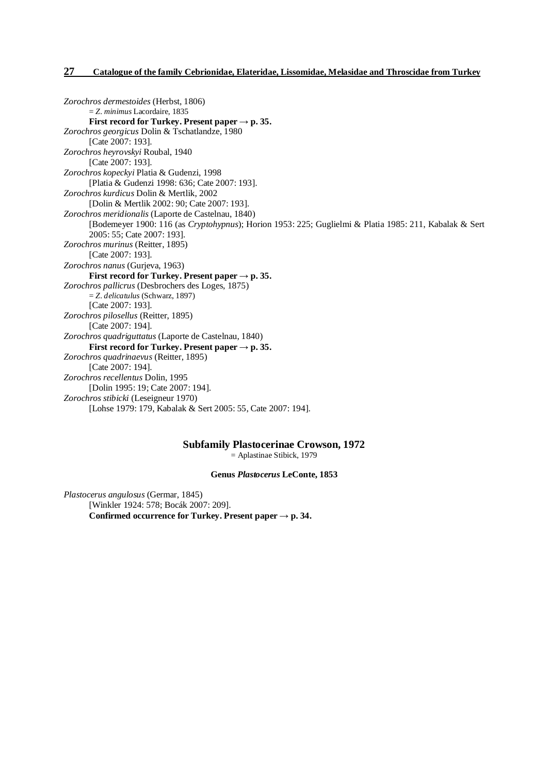*Zorochros dermestoides* (Herbst, 1806) = *Z. minimus* Lacordaire, 1835 **First record for Turkey. Present paper → p. 35.**  *Zorochros georgicus* Dolin & Tschatlandze, 1980 [Cate 2007: 193]. *Zorochros heyrovskyi* Roubal, 1940 [Cate 2007: 193]. *Zorochros kopeckyi* Platia & Gudenzi, 1998 [Platia & Gudenzi 1998: 636; Cate 2007: 193]. *Zorochros kurdicus* Dolin & Mertlik, 2002 [Dolin & Mertlik 2002: 90; Cate 2007: 193]. *Zorochros meridionalis* (Laporte de Castelnau, 1840) [Bodemeyer 1900: 116 (as *Cryptohypnus*); Horion 1953: 225; Guglielmi & Platia 1985: 211, Kabalak & Sert 2005: 55; Cate 2007: 193]. *Zorochros murinus* (Reitter, 1895) [Cate 2007: 193]. *Zorochros nanus* (Gurjeva, 1963) **First record for Turkey. Present paper**  $\rightarrow$  **p. 35.** *Zorochros pallicrus* (Desbrochers des Loges, 1875) = *Z. delicatulus* (Schwarz, 1897) [Cate 2007: 193]. *Zorochros pilosellus* (Reitter, 1895) [Cate 2007: 194]. *Zorochros quadriguttatus* (Laporte de Castelnau, 1840) **First record for Turkey. Present paper**  $\rightarrow$  **p. 35.** *Zorochros quadrinaevus* (Reitter, 1895) [Cate 2007: 194]. *Zorochros recellentus* Dolin, 1995 [Dolin 1995: 19; Cate 2007: 194]. *Zorochros stibicki* (Leseigneur 1970) [Lohse 1979: 179, Kabalak & Sert 2005: 55, Cate 2007: 194].

## **Subfamily Plastocerinae Crowson, 1972**

= Aplastinae Stibick, 1979

### **Genus** *Plastocerus* **LeConte, 1853**

*Plastocerus angulosus* (Germar, 1845) [Winkler 1924: 578; Bocák 2007: 209]. **Confirmed occurrence** for **Turkey. Present**  $\text{paper} \rightarrow \text{p. 34.}$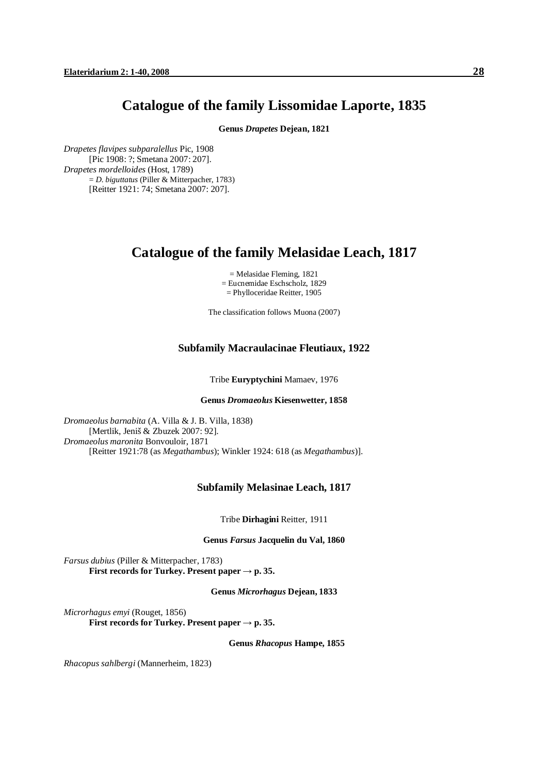## **Catalogue of the family Lissomidae Laporte, 1835**

**Genus** *Drapetes* **Dejean, 1821** 

*Drapetes flavipes subparalellus* Pic, 1908 [Pic 1908: ?; Smetana 2007: 207]. *Drapetes mordelloides* (Host, 1789) = *D. biguttatus* (Piller & Mitterpacher, 1783) [Reitter 1921: 74; Smetana 2007: 207].

# **Catalogue of the family Melasidae Leach, 1817**

= Melasidae Fleming, 1821 = Eucnemidae Eschscholz, 1829 = Phylloceridae Reitter, 1905

The classification follows Muona (2007)

## **Subfamily Macraulacinae Fleutiaux, 1922**

Tribe **Euryptychini** Mamaev, 1976

## **Genus** *Dromaeolus* **Kiesenwetter, 1858**

*Dromaeolus barnabita* (A. Villa & J. B. Villa, 1838) [Mertlik, Jeniš & Zbuzek 2007: 92]. *Dromaeolus maronita* Bonvouloir, 1871 [Reitter 1921:78 (as *Megathambus*); Winkler 1924: 618 (as *Megathambus*)].

## **Subfamily Melasinae Leach, 1817**

Tribe **Dirhagini** Reitter, 1911

**Genus** *Farsus* **Jacquelin du Val, 1860** 

*Farsus dubius* (Piller & Mitterpacher, 1783) **First records for Turkey. Present paper**  $\rightarrow$  **p. 35.** 

**Genus** *Microrhagus* **Dejean, 1833** 

*Microrhagus emyi* (Rouget, 1856) **First records for Turkey. Present paper**  $\rightarrow$  **p. 35.** 

**Genus** *Rhacopus* **Hampe, 1855** 

*Rhacopus sahlbergi* (Mannerheim, 1823)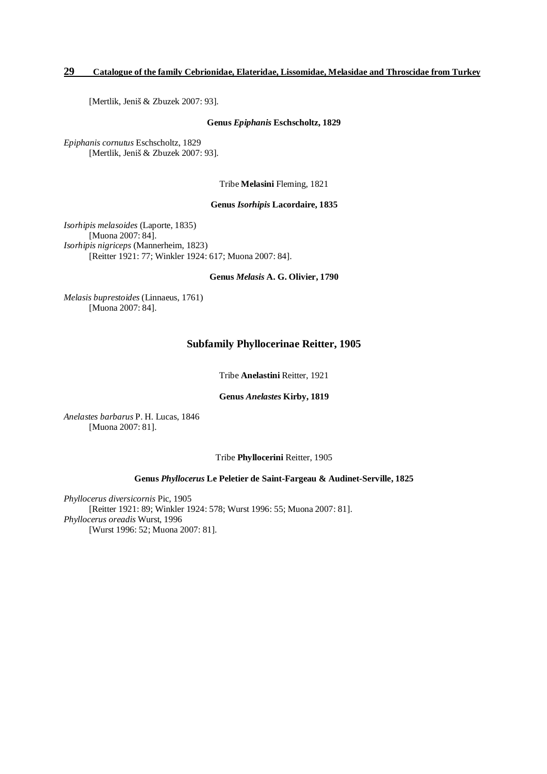[Mertlik, Jeniš & Zbuzek 2007: 93].

#### **Genus** *Epiphanis* **Eschscholtz, 1829**

*Epiphanis cornutus* Eschscholtz, 1829 [Mertlik, Jeniš & Zbuzek 2007: 93].

Tribe **Melasini** Fleming, 1821

**Genus** *Isorhipis* **Lacordaire, 1835** 

*Isorhipis melasoides* (Laporte, 1835) [Muona 2007: 84]. *Isorhipis nigriceps* (Mannerheim, 1823) [Reitter 1921: 77; Winkler 1924: 617; Muona 2007: 84].

**Genus** *Melasis* **A. G. Olivier, 1790** 

*Melasis buprestoides* (Linnaeus, 1761) [Muona 2007: 84].

## **Subfamily Phyllocerinae Reitter, 1905**

Tribe **Anelastini** Reitter, 1921

#### **Genus** *Anelastes* **Kirby, 1819**

*Anelastes barbarus* P. H. Lucas, 1846 [Muona 2007: 81].

Tribe **Phyllocerini** Reitter, 1905

## **Genus** *Phyllocerus* **Le Peletier de Saint-Fargeau & Audinet-Serville, 1825**

*Phyllocerus diversicornis* Pic, 1905 [Reitter 1921: 89; Winkler 1924: 578; Wurst 1996: 55; Muona 2007: 81]. *Phyllocerus oreadis* Wurst, 1996 [Wurst 1996: 52; Muona 2007: 81].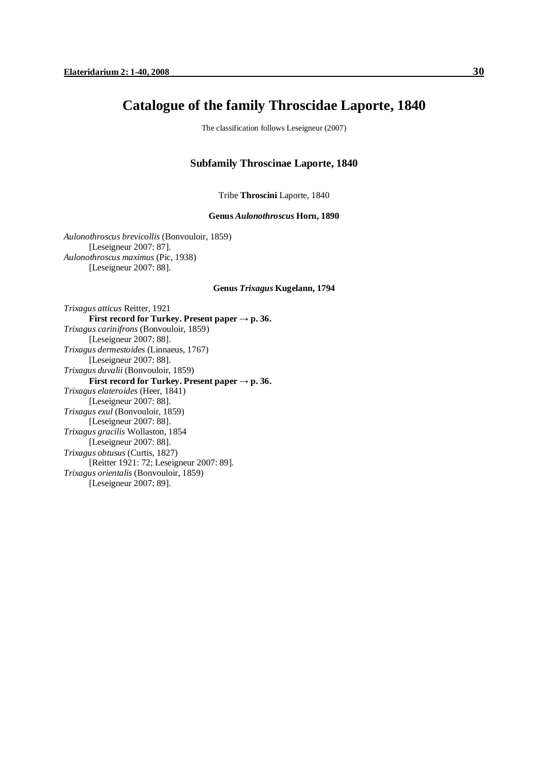# **Catalogue of the family Throscidae Laporte, 1840**

The classification follows Leseigneur (2007)

## **Subfamily Throscinae Laporte, 1840**

Tribe **Throscini** Laporte, 1840

**Genus** *Aulonothroscus* **Horn, 1890** 

*Aulonothroscus brevicollis* (Bonvouloir, 1859) [Leseigneur 2007: 87]. *Aulonothroscus maximus* (Pic, 1938) [Leseigneur 2007: 88].

#### **Genus** *Trixagus* **Kugelann, 1794**

*Trixagus atticus* Reitter, 1921 **First record for Turkey. Present paper**  $\rightarrow$  **p. 36.** *Trixagus carinifrons* (Bonvouloir, 1859) [Leseigneur 2007: 88]. *Trixagus dermestoides* (Linnaeus, 1767) [Leseigneur 2007: 88]. *Trixagus duvalii* (Bonvouloir, 1859) **First record for Turkey. Present paper**  $\rightarrow$  **p. 36.** *Trixagus elateroides* (Heer, 1841) [Leseigneur 2007: 88]. *Trixagus exul* (Bonvouloir, 1859) [Leseigneur 2007: 88]. *Trixagus gracilis* Wollaston, 1854 [Leseigneur 2007: 88]. *Trixagus obtusus* (Curtis, 1827) [Reitter 1921: 72; Leseigneur 2007: 89]. *Trixagus orientalis* (Bonvouloir, 1859) [Leseigneur 2007: 89].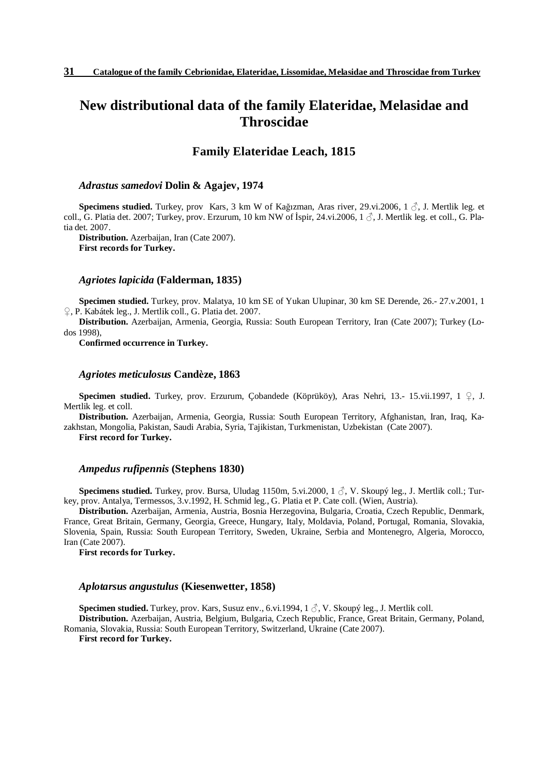# **New distributional data of the family Elateridae, Melasidae and Throscidae**

## **Family Elateridae Leach, 1815**

## *Adrastus samedovi* **Dolin & Agajev, 1974**

**Specimens studied.** Turkey, prov Kars, 3 km W of Kağızman, Aras river, 29.vi.2006, 1 ♂, J. Mertlik leg. et coll., G. Platia det. 2007; Turkey, prov. Erzurum, 10 km NW of İspir, 24.vi.2006, 1 $\beta$ , J. Mertlik leg. et coll., G. Platia det. 2007.

**Distribution.** Azerbaijan, Iran (Cate 2007). **First records for Turkey.** 

#### *Agriotes lapicida* **(Falderman, 1835)**

**Specimen studied.** Turkey, prov. Malatya, 10 km SE of Yukan Ulupinar, 30 km SE Derende, 26.- 27.v.2001, 1 ♀, P. Kabátek leg., J. Mertlik coll., G. Platia det. 2007.

**Distribution.** Azerbaijan, Armenia, Georgia, Russia: South European Territory, Iran (Cate 2007); Turkey (Lodos 1998),

**Confirmed occurrence in Turkey.** 

## *Agriotes meticulosus* **Candèze, 1863**

**Specimen studied.** Turkey, prov. Erzurum, Çobandede (Köprüköy), Aras Nehri, 13.- 15.vii.1997, 1 ♀, J. Mertlik leg. et coll.

**Distribution.** Azerbaijan, Armenia, Georgia, Russia: South European Territory, Afghanistan, Iran, Iraq, Kazakhstan, Mongolia, Pakistan, Saudi Arabia, Syria, Tajikistan, Turkmenistan, Uzbekistan (Cate 2007).

**First record for Turkey.** 

#### *Ampedus rufipennis* **(Stephens 1830)**

**Specimens studied.** Turkey, prov. Bursa, Uludag 1150m, 5.vi.2000, 1 ♂, V. Skoupý leg., J. Mertlik coll.; Turkey, prov. Antalya, Termessos, 3.v.1992, H. Schmid leg., G. Platia et P. Cate coll. (Wien, Austria).

**Distribution.** Azerbaijan, Armenia, Austria, Bosnia Herzegovina, Bulgaria, Croatia, Czech Republic, Denmark, France, Great Britain, Germany, Georgia, Greece, Hungary, Italy, Moldavia, Poland, Portugal, Romania, Slovakia, Slovenia, Spain, Russia: South European Territory, Sweden, Ukraine, Serbia and Montenegro, Algeria, Morocco, Iran (Cate 2007).

**First records for Turkey.** 

## *Aplotarsus angustulus* **(Kiesenwetter, 1858)**

**Specimen studied.** Turkey, prov. Kars, Susuz env., 6.vi.1994, 1 ♂, V. Skoupý leg., J. Mertlik coll.

**Distribution.** Azerbaijan, Austria, Belgium, Bulgaria, Czech Republic, France, Great Britain, Germany, Poland, Romania, Slovakia, Russia: South European Territory, Switzerland, Ukraine (Cate 2007).

**First record for Turkey.**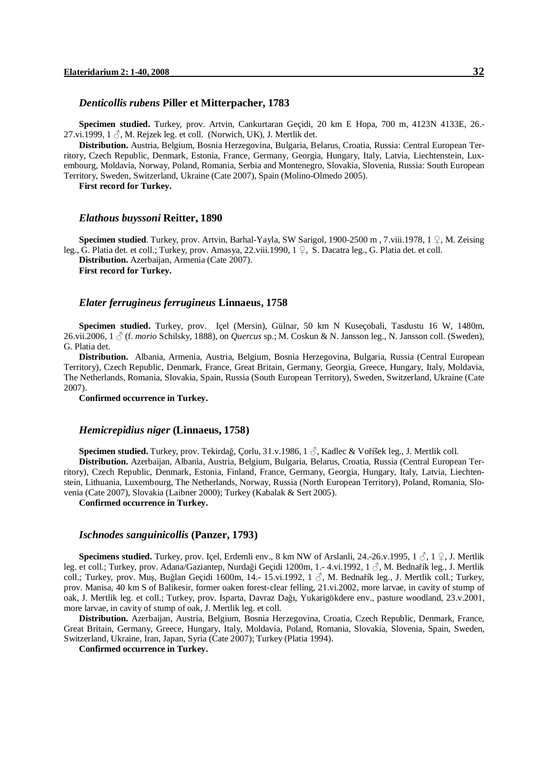#### *Denticollis rubens* **Piller et Mitterpacher, 1783**

**Specimen studied.** Turkey, prov. Artvin, Cankurtaran Geçidi, 20 km E Hopa, 700 m, 4123N 4133E, 26.- 27.vi.1999, 1  $\Diamond$ , M. Rejzek leg. et coll. (Norwich, UK), J. Mertlik det.

**Distribution.** Austria, Belgium, Bosnia Herzegovina, Bulgaria, Belarus, Croatia, Russia: Central European Territory, Czech Republic, Denmark, Estonia, France, Germany, Georgia, Hungary, Italy, Latvia, Liechtenstein, Luxembourg, Moldavia, Norway, Poland, Romania, Serbia and Montenegro, Slovakia, Slovenia, Russia: South European Territory, Sweden, Switzerland, Ukraine (Cate 2007), Spain (Molino-Olmedo 2005).

**First record for Turkey.** 

#### *Elathous buyssoni* **Reitter, 1890**

**Specimen studied**. Turkey, prov. Artvin, Barhal-Yayla, SW Sarigol, 1900-2500 m , 7.viii.1978, 1 ♀, M. Zeising leg., G. Platia det. et coll.; Turkey, prov. Amasya, 22.viii.1990,  $1 \nsubseteq$ , S. Dacatra leg., G. Platia det. et coll. **Distribution.** Azerbaijan, Armenia (Cate 2007). **First record for Turkey.** 

## *Elater ferrugineus ferrugineus* **Linnaeus, 1758**

**Specimen studied.** Turkey, prov. Içel (Mersin), Gülnar, 50 km N Kuseçobali, Tasdustu 16 W, 1480m, 26.vii.2006, 1 ♂ (f. *morio* Schilsky, 1888), on *Quercus* sp.; M. Coskun & N. Jansson leg., N. Jansson coll. (Sweden), G. Platia det.

**Distribution.** Albania, Armenia, Austria, Belgium, Bosnia Herzegovina, Bulgaria, Russia (Central European Territory), Czech Republic, Denmark, France, Great Britain, Germany, Georgia, Greece, Hungary, Italy, Moldavia, The Netherlands, Romania, Slovakia, Spain, Russia (South European Territory), Sweden, Switzerland, Ukraine (Cate 2007).

**Confirmed occurrence in Turkey.** 

## *Hemicrepidius niger* **(Linnaeus, 1758)**

**Specimen studied.** Turkey, prov. Tekirdağ, Çorlu, 31.v.1986, 1 ♂, Kadlec & Voříšek leg., J. Mertlik coll. **Distribution.** Azerbaijan, Albania, Austria, Belgium, Bulgaria, Belarus, Croatia, Russia (Central European Territory), Czech Republic, Denmark, Estonia, Finland, France, Germany, Georgia, Hungary, Italy, Latvia, Liechtenstein, Lithuania, Luxembourg, The Netherlands, Norway, Russia (North European Territory), Poland, Romania, Slovenia (Cate 2007), Slovakia (Laibner 2000); Turkey (Kabalak & Sert 2005).

**Confirmed occurrence in Turkey.** 

#### *Ischnodes sanguinicollis* **(Panzer, 1793)**

**Specimens studied.** Turkey, prov. Içel, Erdemli env., 8 km NW of Arslanli, 24.-26.v.1995, 1  $\circ$ , 1  $\circ$ , J. Mertlik leg. et coll.; Turkey, prov. Adana/Gaziantep, Nurdaği Geçidi 1200m, 1.- 4.vi.1992, 1 ♂, M. Bednařík leg., J. Mertlik coll.; Turkey, prov. Muş, Buğlan Geçidi 1600m, 14.- 15.vi.1992, 1  $\Im$ , M. Bednařík leg., J. Mertlik coll.; Turkey, prov. Manisa, 40 km S of Balikesir, former oaken forest-clear felling, 21.vi.2002, more larvae, in cavity of stump of oak, J. Mertlik leg. et coll.; Turkey, prov. Isparta, Davraz Dağı, Yukarigökdere env., pasture woodland, 23.v.2001, more larvae, in cavity of stump of oak, J. Mertlik leg. et coll.

**Distribution.** Azerbaijan, Austria, Belgium, Bosnia Herzegovina, Croatia, Czech Republic, Denmark, France, Great Britain, Germany, Greece, Hungary, Italy, Moldavia, Poland, Romania, Slovakia, Slovenia, Spain, Sweden, Switzerland, Ukraine, Iran, Japan, Syria (Cate 2007); Turkey (Platia 1994).

**Confirmed occurrence in Turkey.**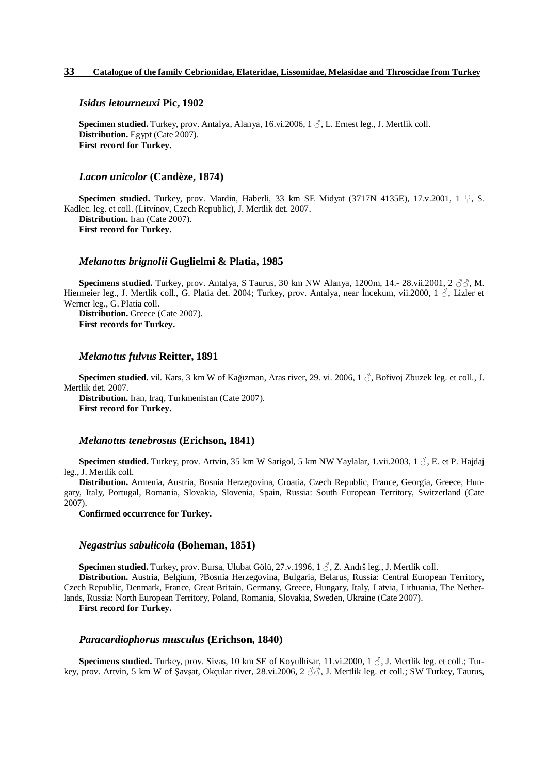#### *Isidus letourneuxi* **Pic, 1902**

**Specimen studied.** Turkey, prov. Antalya, Alanya, 16.vi.2006, 1 ♂, L. Ernest leg., J. Mertlik coll. **Distribution.** Egypt (Cate 2007). **First record for Turkey.** 

#### *Lacon unicolor* **(Candèze, 1874)**

**Specimen studied.** Turkey, prov. Mardin, Haberli, 33 km SE Midyat (3717N 4135E), 17.v.2001, 1 ♀, S. Kadlec. leg. et coll. (Litvínov, Czech Republic), J. Mertlik det. 2007. **Distribution.** Iran (Cate 2007). **First record for Turkey.** 

## *Melanotus brignolii* **Guglielmi & Platia, 1985**

**Specimens studied.** Turkey, prov. Antalya, S Taurus, 30 km NW Alanya, 1200m, 14.- 28.vii.2001, 2 ♂♂, M. Hiermeier leg., J. Mertlik coll., G. Platia det. 2004; Turkey, prov. Antalya, near Incekum, vii.2000, 1  $\Diamond$ , Lizler et Werner leg., G. Platia coll.

**Distribution.** Greece (Cate 2007). **First records for Turkey.** 

## *Melanotus fulvus* **Reitter, 1891**

**Specimen studied.** vil. Kars, 3 km W of Kağızman, Aras river, 29. vi. 2006, 1 ♂, Bořivoj Zbuzek leg. et coll., J. Mertlik det. 2007.

**Distribution.** Iran, Iraq, Turkmenistan (Cate 2007). **First record for Turkey.** 

#### *Melanotus tenebrosus* **(Erichson, 1841)**

**Specimen studied.** Turkey, prov. Artvin, 35 km W Sarigol, 5 km NW Yaylalar, 1.vii.2003, 1 ♂, E. et P. Hajdaj leg., J. Mertlik coll.

**Distribution.** Armenia, Austria, Bosnia Herzegovina, Croatia, Czech Republic, France, Georgia, Greece, Hungary, Italy, Portugal, Romania, Slovakia, Slovenia, Spain, Russia: South European Territory, Switzerland (Cate 2007).

**Confirmed occurrence for Turkey.** 

## *Negastrius sabulicola* **(Boheman, 1851)**

**Specimen studied.** Turkey, prov. Bursa, Ulubat Gölü, 27.v.1996, 1 ♂, Z. Andrš leg., J. Mertlik coll.

**Distribution.** Austria, Belgium, ?Bosnia Herzegovina, Bulgaria, Belarus, Russia: Central European Territory, Czech Republic, Denmark, France, Great Britain, Germany, Greece, Hungary, Italy, Latvia, Lithuania, The Netherlands, Russia: North European Territory, Poland, Romania, Slovakia, Sweden, Ukraine (Cate 2007).

**First record for Turkey.** 

## *Paracardiophorus musculus* **(Erichson, 1840)**

**Specimens studied.** Turkey, prov. Sivas, 10 km SE of Koyulhisar, 11.vi.2000, 1  $\circ$ , J. Mertlik leg. et coll.; Turkey, prov. Artvin, 5 km W of Şavşat, Okçular river, 28.vi.2006, 2  $\Im$ , J. Mertlik leg. et coll.; SW Turkey, Taurus,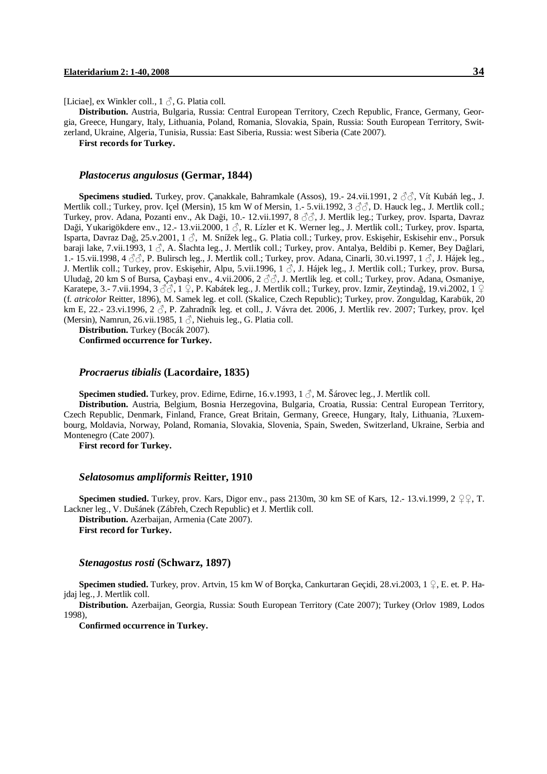[Liciae], ex Winkler coll.,  $1 \circ$ , G. Platia coll.

**Distribution.** Austria, Bulgaria, Russia: Central European Territory, Czech Republic, France, Germany, Georgia, Greece, Hungary, Italy, Lithuania, Poland, Romania, Slovakia, Spain, Russia: South European Territory, Switzerland, Ukraine, Algeria, Tunisia, Russia: East Siberia, Russia: west Siberia (Cate 2007).

**First records for Turkey.** 

#### *Plastocerus angulosus* **(Germar, 1844)**

**Specimens studied.** Turkey, prov. Çanakkale, Bahramkale (Assos), 19.- 24.vii.1991, 2 ♂♂, Vít Kubáň leg., J. Mertlik coll.; Turkey, prov. Içel (Mersin), 15 km W of Mersin, 1.- 5.vii.1992, 3 ♂♂, D. Hauck leg., J. Mertlik coll.; Turkey, prov. Adana, Pozanti env., Ak Daği, 10.- 12.vii.1997, 8 ♂♂, J. Mertlik leg.; Turkey, prov. Isparta, Davraz Daği, Yukarigökdere env., 12.- 13.vii.2000, 1  $\Diamond$ , R. Lízler et K. Werner leg., J. Mertlik coll.; Turkey, prov. Isparta, Isparta, Davraz Dağ, 25.v.2001, 1 ♂, M. Snížek leg., G. Platia coll.; Turkey, prov. Eskişehir, Eskisehir env., Porsuk baraji lake, 7.vii.1993, 1 3, A. Šlachta leg., J. Mertlik coll.; Turkey, prov. Antalya, Beldibi p. Kemer, Bey Dağlari, 1.- 15.vii.1998, 4 ♂♂, P. Bulirsch leg., J. Mertlik coll.; Turkey, prov. Adana, Cinarli, 30.vi.1997, 1 ♂, J. Hájek leg., J. Mertlik coll.; Turkey, prov. Eskişehir, Alpu, 5.vii.1996, 1 3, J. Hájek leg., J. Mertlik coll.; Turkey, prov. Bursa, Uludağ, 20 km S of Bursa, Çaybaşi env., 4.vii.2006, 2 ♂♂, J. Mertlik leg. et coll.; Turkey, prov. Adana, Osmaniye, Karatepe, 3.- 7.vii.1994, 3  $\delta\delta$ , 1  $\Omega$ , P. Kabátek leg., J. Mertlik coll.; Turkey, prov. Izmir, Zeytindağ, 19.vi.2002, 1  $\Omega$ (f. *atricolor* Reitter, 1896), M. Samek leg. et coll. (Skalice, Czech Republic); Turkey, prov. Zonguldag, Karabük, 20 km E, 22.- 23.vi.1996, 2  $\beta$ , P. Zahradník leg. et coll., J. Vávra det. 2006, J. Mertlik rev. 2007; Turkey, prov. Içel (Mersin), Namrun, 26.vii.1985, 1  $\delta$ , Niehuis leg., G. Platia coll.

**Distribution.** Turkey (Bocák 2007). **Confirmed occurrence for Turkey.** 

### *Procraerus tibialis* **(Lacordaire, 1835)**

**Specimen studied.** Turkey, prov. Edirne, Edirne, 16.v.1993, 1 ♂, M. Šárovec leg., J. Mertlik coll.

**Distribution.** Austria, Belgium, Bosnia Herzegovina, Bulgaria, Croatia, Russia: Central European Territory, Czech Republic, Denmark, Finland, France, Great Britain, Germany, Greece, Hungary, Italy, Lithuania, ?Luxembourg, Moldavia, Norway, Poland, Romania, Slovakia, Slovenia, Spain, Sweden, Switzerland, Ukraine, Serbia and Montenegro (Cate 2007).

**First record for Turkey.** 

## *Selatosomus ampliformis* **Reitter, 1910**

**Specimen studied.** Turkey, prov. Kars, Digor env., pass 2130m, 30 km SE of Kars, 12.- 13.vi.1999, 2 ♀♀, T. Lackner leg., V. Dušánek (Zábřeh, Czech Republic) et J. Mertlik coll. **Distribution.** Azerbaijan, Armenia (Cate 2007). **First record for Turkey.** 

#### *Stenagostus rosti* **(Schwarz, 1897)**

**Specimen studied.** Turkey, prov. Artvin, 15 km W of Borçka, Cankurtaran Geçidi, 28.vi.2003, 1 ♀, E. et. P. Hajdaj leg., J. Mertlik coll.

**Distribution.** Azerbaijan, Georgia, Russia: South European Territory (Cate 2007); Turkey (Orlov 1989, Lodos 1998),

**Confirmed occurrence in Turkey.**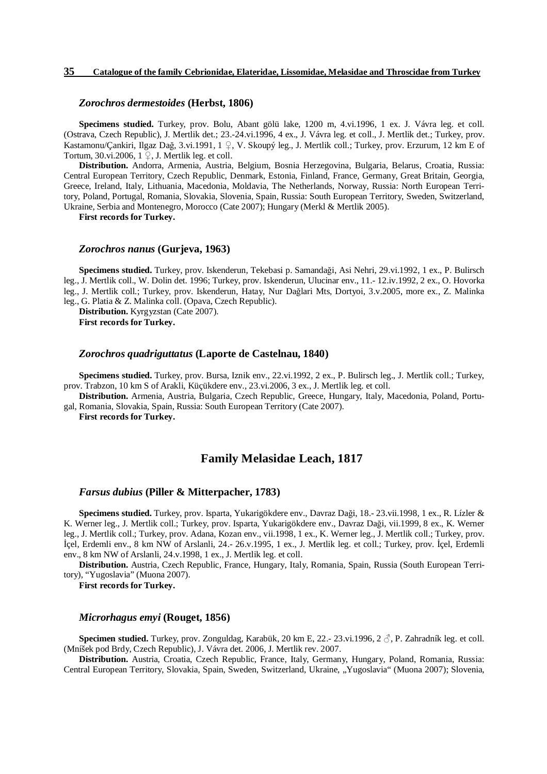#### *Zorochros dermestoides* **(Herbst, 1806)**

**Specimens studied.** Turkey, prov. Bolu, Abant gölü lake, 1200 m, 4.vi.1996, 1 ex. J. Vávra leg. et coll. (Ostrava, Czech Republic), J. Mertlik det.; 23.-24.vi.1996, 4 ex., J. Vávra leg. et coll., J. Mertlik det.; Turkey, prov. Kastamonu/Çankiri, Ilgaz Dağ, 3.vi.1991, 1 ♀, V. Skoupý leg., J. Mertlik coll.; Turkey, prov. Erzurum, 12 km E of Tortum, 30.vi.2006,  $1 \nsubseteq$ , J. Mertlik leg. et coll.

**Distribution.** Andorra, Armenia, Austria, Belgium, Bosnia Herzegovina, Bulgaria, Belarus, Croatia, Russia: Central European Territory, Czech Republic, Denmark, Estonia, Finland, France, Germany, Great Britain, Georgia, Greece, Ireland, Italy, Lithuania, Macedonia, Moldavia, The Netherlands, Norway, Russia: North European Territory, Poland, Portugal, Romania, Slovakia, Slovenia, Spain, Russia: South European Territory, Sweden, Switzerland, Ukraine, Serbia and Montenegro, Morocco (Cate 2007); Hungary (Merkl & Mertlik 2005).

**First records for Turkey.** 

#### *Zorochros nanus* **(Gurjeva, 1963)**

**Specimens studied.** Turkey, prov. Iskenderun, Tekebasi p. Samandaği, Asi Nehri, 29.vi.1992, 1 ex., P. Bulirsch leg., J. Mertlik coll., W. Dolin det. 1996; Turkey, prov. Iskenderun, Ulucinar env., 11.- 12.iv.1992, 2 ex., O. Hovorka leg., J. Mertlik coll.; Turkey, prov. Iskenderun, Hatay, Nur Dağlari Mts, Dortyoi, 3.v.2005, more ex., Z. Malinka leg., G. Platia & Z. Malinka coll. (Opava, Czech Republic).

**Distribution.** Kyrgyzstan (Cate 2007). **First records for Turkey.** 

## *Zorochros quadriguttatus* **(Laporte de Castelnau, 1840)**

**Specimens studied.** Turkey, prov. Bursa, Iznik env., 22.vi.1992, 2 ex., P. Bulirsch leg., J. Mertlik coll.; Turkey, prov. Trabzon, 10 km S of Arakli, Küçükdere env., 23.vi.2006, 3 ex., J. Mertlik leg. et coll.

**Distribution.** Armenia, Austria, Bulgaria, Czech Republic, Greece, Hungary, Italy, Macedonia, Poland, Portugal, Romania, Slovakia, Spain, Russia: South European Territory (Cate 2007).

**First records for Turkey.** 

## **Family Melasidae Leach, 1817**

#### *Farsus dubius* **(Piller & Mitterpacher, 1783)**

**Specimens studied.** Turkey, prov. Isparta, Yukarigökdere env., Davraz Daği, 18.- 23.vii.1998, 1 ex., R. Lízler & K. Werner leg., J. Mertlik coll.; Turkey, prov. Isparta, Yukarigökdere env., Davraz Daği, vii.1999, 8 ex., K. Werner leg., J. Mertlik coll.; Turkey, prov. Adana, Kozan env., vii.1998, 1 ex., K. Werner leg., J. Mertlik coll.; Turkey, prov. İçel, Erdemli env., 8 km NW of Arslanli, 24.- 26.v.1995, 1 ex., J. Mertlik leg. et coll.; Turkey, prov. İçel, Erdemli env., 8 km NW of Arslanli, 24.v.1998, 1 ex., J. Mertlik leg. et coll.

**Distribution.** Austria, Czech Republic, France, Hungary, Italy, Romania, Spain, Russia (South European Territory), "Yugoslavia" (Muona 2007).

**First records for Turkey.** 

## *Microrhagus emyi* **(Rouget, 1856)**

**Specimen studied.** Turkey, prov. Zonguldag, Karabük, 20 km E, 22.- 23.vi.1996, 2 ♂, P. Zahradník leg. et coll. (Mníšek pod Brdy, Czech Republic), J. Vávra det. 2006, J. Mertlik rev. 2007.

**Distribution.** Austria, Croatia, Czech Republic, France, Italy, Germany, Hungary, Poland, Romania, Russia: Central European Territory, Slovakia, Spain, Sweden, Switzerland, Ukraine, "Yugoslavia" (Muona 2007); Slovenia,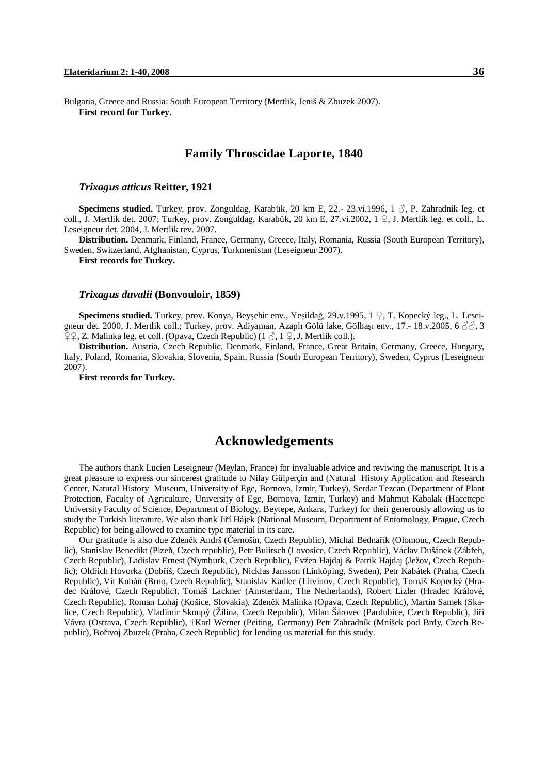Bulgaria, Greece and Russia: South European Territory (Mertlik, Jeniš & Zbuzek 2007). **First record for Turkey.**

## **Family Throscidae Laporte, 1840**

### *Trixagus atticus* **Reitter, 1921**

**Specimens studied.** Turkey, prov. Zonguldag, Karabük, 20 km E, 22.- 23.vi.1996, 1 ♂, P. Zahradník leg. et coll., J. Mertlik det. 2007; Turkey, prov. Zonguldag, Karabük, 20 km E, 27.vi.2002, 1  $\Omega$ , J. Mertlik leg. et coll., L. Leseigneur det. 2004, J. Mertlik rev. 2007.

**Distribution.** Denmark, Finland, France, Germany, Greece, Italy, Romania, Russia (South European Territory), Sweden, Switzerland, Afghanistan, Cyprus, Turkmenistan (Leseigneur 2007).

**First records for Turkey.** 

#### *Trixagus duvalii* **(Bonvouloir, 1859)**

**Specimens studied.** Turkey, prov. Konya, Beyşehir env., Yeşildağ, 29.v.1995, 1 ♀, T. Kopecký leg., L. Leseigneur det. 2000, J. Mertlik coll.; Turkey, prov. Adiyaman, Azaplı Gölü lake, Gölbaşı env., 17.- 18.v.2005, 6 ♂♂, 3  $\mathbb{Q} \mathbb{Q}$ , Z. Malinka leg. et coll. (Opava, Czech Republic) (1  $\Diamond$ , 1  $\mathbb{Q}$ , J. Mertlik coll.).

**Distribution.** Austria, Czech Republic, Denmark, Finland, France, Great Britain, Germany, Greece, Hungary, Italy, Poland, Romania, Slovakia, Slovenia, Spain, Russia (South European Territory), Sweden, Cyprus (Leseigneur 2007).

**First records for Turkey.** 

# **Acknowledgements**

The authors thank Lucien Leseigneur (Meylan, France) for invaluable advice and reviwing the manuscript. It is a great pleasure to express our sincerest gratitude to Nilay Gülperçin and (Natural History Application and Research Center, Natural History Museum, University of Ege, Bornova, Izmir, Turkey), Serdar Tezcan (Department of Plant Protection, Faculty of Agriculture, University of Ege, Bornova, Izmir, Turkey) and Mahmut Kabalak (Hacettepe University Faculty of Science, Department of Biology, Beytepe, Ankara, Turkey) for their generously allowing us to study the Turkish literature. We also thank Jiří Hájek (National Museum, Department of Entomology, Prague, Czech Republic) for being allowed to examine type material in its care.

Our gratitude is also due Zdeněk Andrš (Černošín, Czech Republic), Michal Bednařík (Olomouc, Czech Republic), Stanislav Benedikt (Plzeň, Czech republic), Petr Bulirsch (Lovosice, Czech Republic), Václav Dušánek (Zábřeh, Czech Republic), Ladislav Ernest (Nymburk, Czech Republic), Evžen Hajdaj & Patrik Hajdaj (Ježov, Czech Republic); Oldřich Hovorka (Dobříš, Czech Republic), Nicklas Jansson (Linköping, Sweden), Petr Kabátek (Praha, Czech Republic), Vít Kubáň (Brno, Czech Republic), Stanislav Kadlec (Litvínov, Czech Republic), Tomáš Kopecký (Hradec Králové, Czech Republic), Tomáš Lackner (Amsterdam, The Netherlands), Robert Lízler (Hradec Králové, Czech Republic), Roman Lohaj (Košice, Slovakia), Zdeněk Malinka (Opava, Czech Republic), Martin Samek (Skalice, Czech Republic), Vladimír Skoupý (Žilina, Czech Republic), Milan Šárovec (Pardubice, Czech Republic), Jiří Vávra (Ostrava, Czech Republic), †Karl Werner (Peiting, Germany) Petr Zahradník (Mníšek pod Brdy, Czech Republic), Bořivoj Zbuzek (Praha, Czech Republic) for lending us material for this study.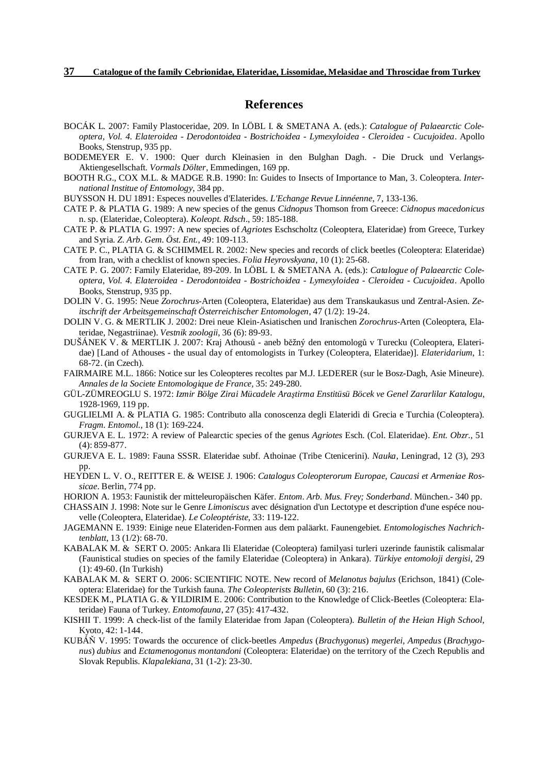## **References**

- BOCÁK L. 2007: Family Plastoceridae, 209. In LÖBL I. & SMETANA A. (eds.): *Catalogue of Palaearctic Coleoptera, Vol. 4. Elateroidea - Derodontoidea - Bostrichoidea - Lymexyloidea - Cleroidea - Cucujoidea*. Apollo Books, Stenstrup, 935 pp.
- BODEMEYER E. V. 1900: Quer durch Kleinasien in den Bulghan Dagh. Die Druck und Verlangs-Aktiengesellschaft. *Vormals Dölter*, Emmedingen, 169 pp.
- BOOTH R.G., COX M.L. & MADGE R.B. 1990: In: Guides to Insects of Importance to Man, 3. Coleoptera. *International Institue of Entomology*, 384 pp.
- BUYSSON H. DU 1891: Especes nouvelles d'Elaterides. *L'Echange Revue Linnéenne*, 7, 133-136.
- CATE P. & PLATIA G. 1989: A new species of the genus *Cidnopus* Thomson from Greece: *Cidnopus macedonicus* n. sp. (Elateridae, Coleoptera). *Koleopt. Rdsch.*, 59: 185-188.
- CATE P. & PLATIA G. 1997: A new species of *Agriotes* Eschscholtz (Coleoptera, Elateridae) from Greece, Turkey and Syria. *Z. Arb. Gem. Öst. Ent.*, 49: 109-113.
- CATE P. C., PLATIA G. & SCHIMMEL R. 2002: New species and records of click beetles (Coleoptera: Elateridae) from Iran, with a checklist of known species. *Folia Heyrovskyana*, 10 (1): 25-68.
- CATE P. G. 2007: Family Elateridae, 89-209. In LÖBL I. & SMETANA A. (eds.): *Catalogue of Palaearctic Coleoptera, Vol. 4. Elateroidea - Derodontoidea - Bostrichoidea - Lymexyloidea - Cleroidea - Cucujoidea*. Apollo Books, Stenstrup, 935 pp.
- DOLIN V. G. 1995: Neue *Zorochrus*-Arten (Coleoptera, Elateridae) aus dem Transkaukasus und Zentral-Asien. *Zeitschrift der Arbeitsgemeinschaft Österreichischer Entomologen*, 47 (1/2): 19-24.
- DOLIN V. G. & MERTLIK J. 2002: Drei neue Klein-Asiatischen und Iranischen *Zorochrus*-Arten (Coleoptera, Elateridae, Negastriinae). *Vestnik zoologii*, 36 (6): 89-93.
- DUŠÁNEK V. & MERTLIK J. 2007: Kraj Athousů aneb běžný den entomologů v Turecku (Coleoptera, Elateridae) [Land of Athouses - the usual day of entomologists in Turkey (Coleoptera, Elateridae)]. *Elateridarium*, 1: 68-72. (in Czech).
- FAIRMAIRE M.L. 1866: Notice sur les Coleopteres recoltes par M.J. LEDERER (sur le Bosz-Dagh, Asie Mineure). *Annales de la Societe Entomologique de France,* 35: 249-280.
- GÜL-ZÜMREOGLU S. 1972: *Izmir Bölge Zirai Mücadele Araştirma Enstitüsü Böcek ve Genel Zararlilar Katalogu*, 1928-1969, 119 pp.
- GUGLIELMI A. & PLATIA G. 1985: Contributo alla conoscenza degli Elateridi di Grecia e Turchia (Coleoptera). *Fragm. Entomol.*, 18 (1): 169-224.
- GURJEVA E. L. 1972: A review of Palearctic species of the genus *Agriotes* Esch. (Col. Elateridae). *Ent. Obzr.*, 51 (4): 859-877.
- GURJEVA E. L. 1989: Fauna SSSR. Elateridae subf. Athoinae (Tribe Ctenicerini). *Nauka*, Leningrad, 12 (3), 293 pp.
- HEYDEN L. V. O., REITTER E. & WEISE J. 1906: *Catalogus Coleopterorum Europae, Caucasi et Armeniae Rossicae*. Berlin, 774 pp.
- HORION A. 1953: Faunistik der mitteleuropäischen Käfer. *Entom. Arb. Mus. Frey; Sonderband*. München.- 340 pp.
- CHASSAIN J. 1998: Note sur le Genre *Limoniscus* avec désignation d'un Lectotype et description d'une espéce nouvelle (Coleoptera, Elateridae). *Le Coleoptériste*, 33: 119-122.
- JAGEMANN E. 1939: Einige neue Elateriden-Formen aus dem paläarkt. Faunengebiet*. Entomologisches Nachrichtenblatt*, 13 (1/2): 68-70.
- KABALAK M. & SERT O. 2005: Ankara Ili Elateridae (Coleoptera) familyasi turleri uzerinde faunistik calismalar (Faunistical studies on species of the family Elateridae (Coleoptera) in Ankara). *Türkiye entomoloji dergisi*, 29 (1): 49-60. (In Turkish)
- KABALAK M. & SERT O. 2006: SCIENTIFIC NOTE. New record of *Melanotus bajulus* (Erichson, 1841) (Coleoptera: Elateridae) for the Turkish fauna. *The Coleopterists Bulletin*, 60 (3): 216.
- KESDEK M., PLATIA G. & YILDIRIM E. 2006: Contribution to the Knowledge of Click-Beetles (Coleoptera: Elateridae) Fauna of Turkey. *Entomofauna*, 27 (35): 417-432.
- KISHII T. 1999: A check-list of the family Elateridae from Japan (Coleoptera). *Bulletin of the Heian High School*, Kyoto, 42: 1-144.
- KUBÁŇ V. 1995: Towards the occurence of click-beetles *Ampedus* (*Brachygonus*) *megerlei*, *Ampedus* (*Brachygonus*) *dubius* and *Ectamenogonus montandoni* (Coleoptera: Elateridae) on the territory of the Czech Republis and Slovak Republis. *Klapalekiana*, 31 (1-2): 23-30.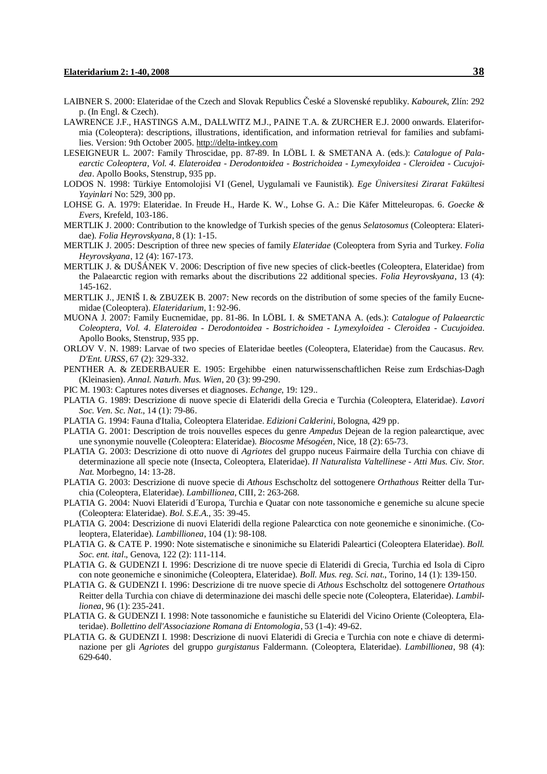- LAIBNER S. 2000: Elateridae of the Czech and Slovak Republics České a Slovenské republiky. *Kabourek*, Zlín: 292 p. (In Engl. & Czech).
- LAWRENCE J.F., HASTINGS A.M., DALLWITZ M.J., PAINE T.A. & ZURCHER E.J. 2000 onwards. Elateriformia (Coleoptera): descriptions, illustrations, identification, and information retrieval for families and subfamilies. Version: 9th October 2005. <http://delta-intkey.com>
- LESEIGNEUR L. 2007: Family Throscidae, pp. 87-89. In LÖBL I. & SMETANA A. (eds.): *Catalogue of Palaearctic Coleoptera, Vol. 4. Elateroidea - Derodontoidea - Bostrichoidea - Lymexyloidea - Cleroidea - Cucujoidea*. Apollo Books, Stenstrup, 935 pp.
- LODOS N. 1998: Türkiye Entomolojisi VI (Genel, Uygulamali ve Faunistik). *Ege Üniversitesi Zirarat Fakültesi Yayinlari* No: 529, 300 pp.
- LOHSE G. A. 1979: Elateridae. In Freude H., Harde K. W., Lohse G. A.: Die Käfer Mitteleuropas. 6. *Goecke & Evers*, Krefeld, 103-186.
- MERTLIK J. 2000: Contribution to the knowledge of Turkish species of the genus *Selatosomus* (Coleoptera: Elateridae). *Folia Heyrovskyana*, 8 (1): 1-15.
- MERTLIK J. 2005: Description of three new species of family *Elateridae* (Coleoptera from Syria and Turkey. *Folia Heyrovskyana*, 12 (4): 167-173.
- MERTLIK J. & DUŠÁNEK V. 2006: Description of five new species of click-beetles (Coleoptera, Elateridae) from the Palaearctic region with remarks about the discributions 22 additional species. *Folia Heyrovskyana*, 13 (4): 145-162.
- MERTLIK J., JENIŠ I. & ZBUZEK B. 2007: New records on the distribution of some species of the family Eucnemidae (Coleoptera). *Elateridarium*, 1: 92-96.
- MUONA J. 2007: Family Eucnemidae, pp. 81-86. In LÖBL I. & SMETANA A. (eds.): *Catalogue of Palaearctic Coleoptera, Vol. 4. Elateroidea - Derodontoidea - Bostrichoidea - Lymexyloidea - Cleroidea - Cucujoidea.* Apollo Books, Stenstrup, 935 pp.
- ORLOV V. N. 1989: Larvae of two species of Elateridae beetles (Coleoptera, Elateridae) from the Caucasus. *Rev. D'Ent. URSS*, 67 (2): 329-332.
- PENTHER A. & ZEDERBAUER E. 1905: Ergehibbe einen naturwissenschaftlichen Reise zum Erdschias-Dagh (Kleinasien). *Annal. Naturh. Mus. Wien*, 20 (3): 99-290.
- PIC M. 1903: Captures notes diverses et diagnoses. *Echange*, 19: 129..
- PLATIA G. 1989: Descrizione di nuove specie di Elateridi della Grecia e Turchia (Coleoptera, Elateridae). *Lavori Soc. Ven. Sc. Nat.*, 14 (1): 79-86.
- PLATIA G. 1994: Fauna d'Italia, Coleoptera Elateridae. *Edizioni Calderini*, Bologna, 429 pp.
- PLATIA G. 2001: Description de trois nouvelles especes du genre *Ampedus* Dejean de la region palearctique, avec une synonymie nouvelle (Coleoptera: Elateridae). *Biocosme Mésogéen*, Nice, 18 (2): 65-73.
- PLATIA G. 2003: Descrizione di otto nuove di *Agriotes* del gruppo nuceus Fairmaire della Turchia con chiave di determinazione all specie note (Insecta, Coleoptera, Elateridae). *Il Naturalista Valtellinese - Atti Mus. Civ. Stor. Nat.* Morbegno, 14: 13-28.
- PLATIA G. 2003: Descrizione di nuove specie di *Athous* Eschscholtz del sottogenere *Orthathous* Reitter della Turchia (Coleoptera, Elateridae). *Lambillionea*, CIII, 2: 263-268.
- PLATIA G. 2004: Nuovi Elateridi d´Europa, Turchia e Quatar con note tassonomiche e genemiche su alcune specie (Coleoptera: Elateridae). *Bol. S.E.A.*, 35: 39-45.
- PLATIA G. 2004: Descrizione di nuovi Elateridi della regione Palearctica con note geonemiche e sinonimiche. (Coleoptera, Elateridae). *Lambillionea*, 104 (1): 98-108.
- PLATIA G. & CATE P. 1990: Note sistematische e sinonimiche su Elateridi Paleartici (Coleoptera Elateridae). *Boll. Soc. ent. ital*., Genova, 122 (2): 111-114.
- PLATIA G. & GUDENZI I. 1996: Descrizione di tre nuove specie di Elateridi di Grecia, Turchia ed Isola di Cipro con note geonemiche e sinonimiche (Coleoptera, Elateridae). *Boll. Mus. reg. Sci. nat.*, Torino, 14 (1): 139-150.
- PLATIA G. & GUDENZI I. 1996: Descrizione di tre nuove specie di *Athous* Eschscholtz del sottogenere *Ortathous* Reitter della Turchia con chiave di determinazione dei maschi delle specie note (Coleoptera, Elateridae). *Lambillionea*, 96 (1): 235-241.
- PLATIA G. & GUDENZI I. 1998: Note tassonomiche e faunistiche su Elateridi del Vicino Oriente (Coleoptera, Elateridae). *Bollettino dell'Associazione Romana di Entomologia*, 53 (1-4): 49-62.
- PLATIA G. & GUDENZI I. 1998: Descrizione di nuovi Elateridi di Grecia e Turchia con note e chiave di determinazione per gli *Agriotes* del gruppo *gurgistanus* Faldermann. (Coleoptera, Elateridae). *Lambillionea*, 98 (4): 629-640.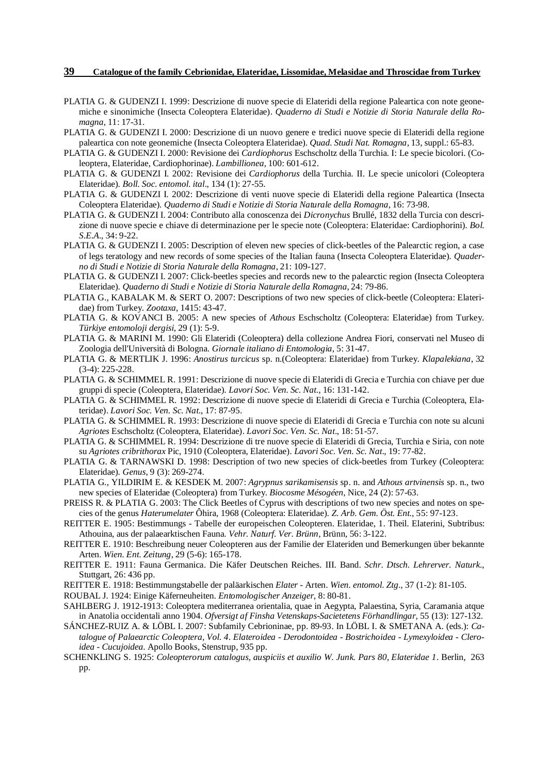- PLATIA G. & GUDENZI I. 1999: Descrizione di nuove specie di Elateridi della regione Paleartica con note geonemiche e sinonimiche (Insecta Coleoptera Elateridae). *Quaderno di Studi e Notizie di Storia Naturale della Romagna*, 11: 17-31.
- PLATIA G. & GUDENZI I. 2000: Descrizione di un nuovo genere e tredici nuove specie di Elateridi della regione paleartica con note geonemiche (Insecta Coleoptera Elateridae). *Quad. Studi Nat. Romagna*, 13, suppl.: 65-83.
- PLATIA G. & GUDENZI I. 2000: Revisione dei *Cardiophorus* Eschscholtz della Turchia. I: Le specie bicolori. (Coleoptera, Elateridae, Cardiophorinae). *Lambillionea*, 100: 601-612.
- PLATIA G. & GUDENZI I. 2002: Revisione dei *Cardiophorus* della Turchia. II. Le specie unicolori (Coleoptera Elateridae). *Boll. Soc. entomol. ital*., 134 (1): 27-55.
- PLATIA G. & GUDENZI I. 2002: Descrizione di venti nuove specie di Elateridi della regione Paleartica (Insecta Coleoptera Elateridae). *Quaderno di Studi e Notizie di Storia Naturale della Romagna*, 16: 73-98.
- PLATIA G. & GUDENZI I. 2004: Contributo alla conoscenza dei *Dicronychus* Brullé, 1832 della Turcia con descrizione di nuove specie e chiave di determinazione per le specie note (Coleoptera: Elateridae: Cardiophorini). *Bol. S.E.A.*, 34: 9-22.
- PLATIA G. & GUDENZI I. 2005: Description of eleven new species of click-beetles of the Palearctic region, a case of legs teratology and new records of some species of the Italian fauna (Insecta Coleoptera Elateridae). *Quaderno di Studi e Notizie di Storia Naturale della Romagna*, 21: 109-127.
- PLATIA G. & GUDENZI I. 2007: Click-beetles species and records new to the palearctic region (Insecta Coleoptera Elateridae). *Quaderno di Studi e Notizie di Storia Naturale della Romagna*, 24: 79-86.
- PLATIA G., KABALAK M. & SERT O. 2007: Descriptions of two new species of click-beetle (Coleoptera: Elateridae) from Turkey. *Zootaxa*, 1415: 43-47.
- PLATIA G. & KOVANCI B. 2005: A new species of *Athous* Eschscholtz (Coleoptera: Elateridae) from Turkey. *Türkiye entomoloji dergisi*, 29 (1): 5-9.
- PLATIA G. & MARINI M. 1990: Gli Elateridi (Coleoptera) della collezione Andrea Fiori, conservati nel Museo di Zoologia dell'Università di Bologna. *Giornale italiano di Entomologia*, 5: 31-47.
- PLATIA G. & MERTLIK J. 1996: *Anostirus turcicus* sp. n.(Coleoptera: Elateridae) from Turkey. *Klapalekiana*, 32 (3-4): 225-228.
- PLATIA G. & SCHIMMEL R. 1991: Descrizione di nuove specie di Elateridi di Grecia e Turchia con chiave per due gruppi di specie (Coleoptera, Elateridae). *Lavori Soc. Ven. Sc. Nat.*, 16: 131-142.
- PLATIA G. & SCHIMMEL R. 1992: Descrizione di nuove specie di Elateridi di Grecia e Turchia (Coleoptera, Elateridae). *Lavori Soc. Ven. Sc. Nat*., 17: 87-95.
- PLATIA G. & SCHIMMEL R. 1993: Descrizione di nuove specie di Elateridi di Grecia e Turchia con note su alcuni *Agriotes* Eschscholtz (Coleoptera, Elateridae). *Lavori Soc. Ven. Sc. Nat*., 18: 51-57.
- PLATIA G. & SCHIMMEL R. 1994: Descrizione di tre nuove specie di Elateridi di Grecia, Turchia e Siria, con note su *Agriotes cribrithorax* Pic, 1910 (Coleoptera, Elateridae). *Lavori Soc. Ven. Sc. Nat*., 19: 77-82.
- PLATIA G. & TARNAWSKI D. 1998: Description of two new species of click-beetles from Turkey (Coleoptera: Elateridae). *Genus*, 9 (3): 269-274.
- PLATIA G., YILDIRIM E. & KESDEK M. 2007: *Agrypnus sarikamisensis* sp. n. and *Athous artvinensis* sp. n., two new species of Elateridae (Coleoptera) from Turkey. *Biocosme Mésogéen*, Nice, 24 (2): 57-63.
- PREISS R. & PLATIA G. 2003: The Click Beetles of Cyprus with descriptions of two new species and notes on species of the genus *Haterumelater* Ôhira, 1968 (Coleoptera: Elateridae). *Z. Arb. Gem. Öst. Ent.*, 55: 97-123.
- REITTER E. 1905: Bestimmungs Tabelle der europeischen Coleopteren. Elateridae, 1. Theil. Elaterini, Subtribus: Athouina, aus der palaearktischen Fauna. *Vehr. Naturf. Ver. Brünn*, Brünn, 56: 3-122.
- REITTER E. 1910: Beschreibung neuer Coleopteren aus der Familie der Elateriden und Bemerkungen über bekannte Arten. *Wien. Ent. Zeitung*, 29 (5-6): 165-178.
- REITTER E. 1911: Fauna Germanica. Die Käfer Deutschen Reiches. III. Band. *Schr. Dtsch. Lehrerver. Naturk*., Stuttgart, 26: 436 pp.
- REITTER E. 1918: Bestimmungstabelle der paläarkischen *Elater* Arten. *Wien. entomol. Ztg.*, 37 (1-2): 81-105.
- ROUBAL J. 1924: Einige Käferneuheiten. *Entomologischer Anzeiger*, 8: 80-81.
- SAHLBERG J. 1912-1913: Coleoptera mediterranea orientalia, quae in Aegypta, Palaestina, Syria, Caramania atque in Anatolia occidentali anno 1904. *Ofversigt af Finsha Vetenskaps-Sacietetens Förhandlingar*, 55 (13): 127-132.
- SÁNCHEZ-RUIZ A. & LÖBL I. 2007: Subfamily Cebrioninae, pp. 89-93. In LÖBL I. & SMETANA A. (eds.): *Catalogue of Palaearctic Coleoptera, Vol. 4. Elateroidea - Derodontoidea - Bostrichoidea - Lymexyloidea - Cleroidea - Cucujoidea*. Apollo Books, Stenstrup, 935 pp.
- SCHENKLING S. 1925: *Coleopterorum catalogus, auspiciis et auxilio W. Junk. Pars 80, Elateridae 1*. Berlin, 263 pp.